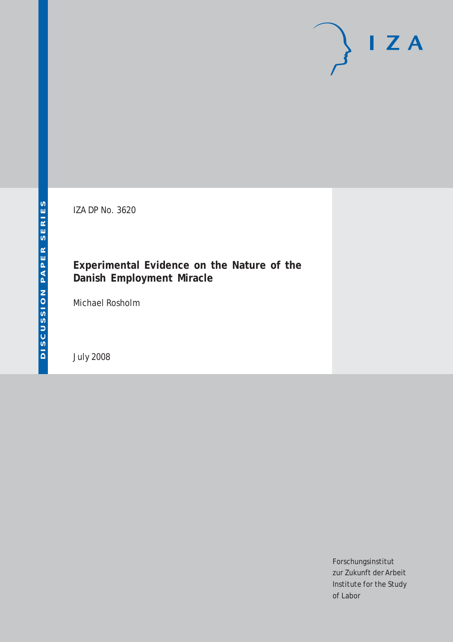# $I Z A$

IZA DP No. 3620

## **Experimental Evidence on the Nature of the Danish Employment Miracle**

Michael Rosholm

July 2008

Forschungsinstitut zur Zukunft der Arbeit Institute for the Study of Labor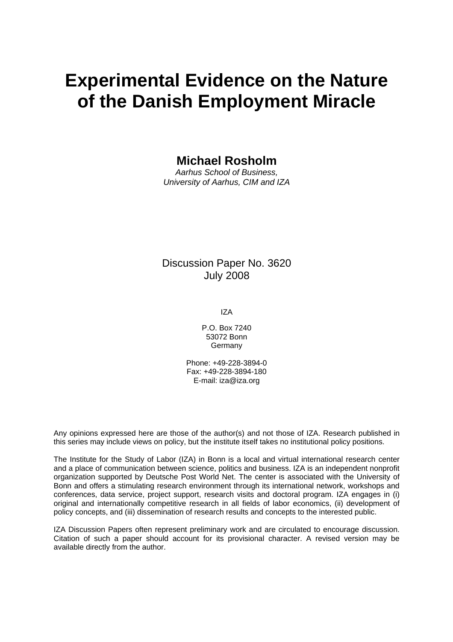# **Experimental Evidence on the Nature of the Danish Employment Miracle**

## **Michael Rosholm**

*Aarhus School of Business, University of Aarhus, CIM and IZA* 

## Discussion Paper No. 3620 July 2008

IZA

P.O. Box 7240 53072 Bonn Germany

Phone: +49-228-3894-0 Fax: +49-228-3894-180 E-mail: [iza@iza.org](mailto:iza@iza.org)

Any opinions expressed here are those of the author(s) and not those of IZA. Research published in this series may include views on policy, but the institute itself takes no institutional policy positions.

The Institute for the Study of Labor (IZA) in Bonn is a local and virtual international research center and a place of communication between science, politics and business. IZA is an independent nonprofit organization supported by Deutsche Post World Net. The center is associated with the University of Bonn and offers a stimulating research environment through its international network, workshops and conferences, data service, project support, research visits and doctoral program. IZA engages in (i) original and internationally competitive research in all fields of labor economics, (ii) development of policy concepts, and (iii) dissemination of research results and concepts to the interested public.

IZA Discussion Papers often represent preliminary work and are circulated to encourage discussion. Citation of such a paper should account for its provisional character. A revised version may be available directly from the author.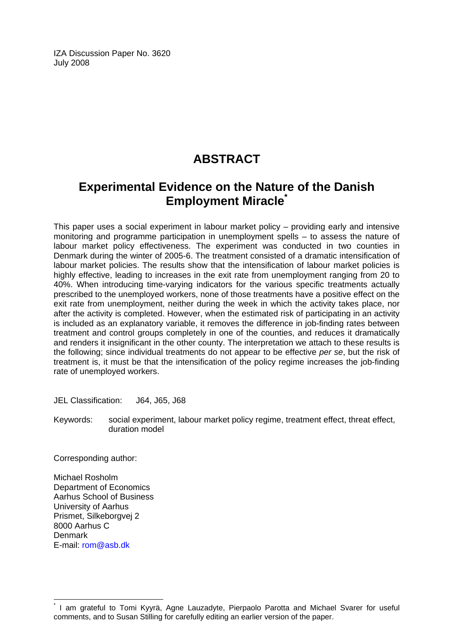IZA Discussion Paper No. 3620 July 2008

## **ABSTRACT**

## **Experimental Evidence on the Nature of the Danish Employment Miracle[\\*](#page-2-0)**

This paper uses a social experiment in labour market policy – providing early and intensive monitoring and programme participation in unemployment spells – to assess the nature of labour market policy effectiveness. The experiment was conducted in two counties in Denmark during the winter of 2005-6. The treatment consisted of a dramatic intensification of labour market policies. The results show that the intensification of labour market policies is highly effective, leading to increases in the exit rate from unemployment ranging from 20 to 40%. When introducing time-varying indicators for the various specific treatments actually prescribed to the unemployed workers, none of those treatments have a positive effect on the exit rate from unemployment, neither during the week in which the activity takes place, nor after the activity is completed. However, when the estimated risk of participating in an activity is included as an explanatory variable, it removes the difference in job-finding rates between treatment and control groups completely in one of the counties, and reduces it dramatically and renders it insignificant in the other county. The interpretation we attach to these results is the following; since individual treatments do not appear to be effective *per se*, but the risk of treatment is, it must be that the intensification of the policy regime increases the job-finding rate of unemployed workers.

JEL Classification: J64, J65, J68

Keywords: social experiment, labour market policy regime, treatment effect, threat effect, duration model

Corresponding author:

Michael Rosholm Department of Economics Aarhus School of Business University of Aarhus Prismet, Silkeborgvej 2 8000 Aarhus C Denmark E-mail: [rom@asb.dk](mailto:rom@asb.dk)

 $\overline{a}$ 

<span id="page-2-0"></span><sup>\*</sup> I am grateful to Tomi Kyyrä, Agne Lauzadyte, Pierpaolo Parotta and Michael Svarer for useful comments, and to Susan Stilling for carefully editing an earlier version of the paper.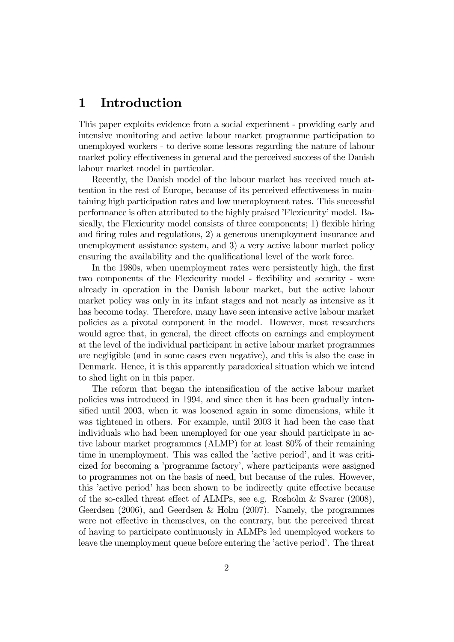## 1 Introduction

This paper exploits evidence from a social experiment - providing early and intensive monitoring and active labour market programme participation to unemployed workers - to derive some lessons regarding the nature of labour market policy effectiveness in general and the perceived success of the Danish labour market model in particular.

Recently, the Danish model of the labour market has received much attention in the rest of Europe, because of its perceived effectiveness in maintaining high participation rates and low unemployment rates. This successful performance is often attributed to the highly praised 'Flexicurity' model. Basically, the Flexicurity model consists of three components; 1) flexible hiring and firing rules and regulations, 2) a generous unemployment insurance and unemployment assistance system, and 3) a very active labour market policy ensuring the availability and the qualificational level of the work force.

In the 1980s, when unemployment rates were persistently high, the first two components of the Flexicurity model - flexibility and security - were already in operation in the Danish labour market, but the active labour market policy was only in its infant stages and not nearly as intensive as it has become today. Therefore, many have seen intensive active labour market policies as a pivotal component in the model. However, most researchers would agree that, in general, the direct effects on earnings and employment at the level of the individual participant in active labour market programmes are negligible (and in some cases even negative), and this is also the case in Denmark. Hence, it is this apparently paradoxical situation which we intend to shed light on in this paper.

The reform that began the intensification of the active labour market policies was introduced in 1994, and since then it has been gradually intensified until 2003, when it was loosened again in some dimensions, while it was tightened in others. For example, until 2003 it had been the case that individuals who had been unemployed for one year should participate in active labour market programmes (ALMP) for at least 80% of their remaining time in unemployment. This was called the 'active period', and it was criticized for becoming a 'programme factory', where participants were assigned to programmes not on the basis of need, but because of the rules. However, this 'active period' has been shown to be indirectly quite effective because of the so-called threat effect of ALMPs, see e.g. Rosholm & Svarer (2008), Geerdsen (2006), and Geerdsen & Holm (2007). Namely, the programmes were not effective in themselves, on the contrary, but the perceived threat of having to participate continuously in ALMPs led unemployed workers to leave the unemployment queue before entering the 'active period'. The threat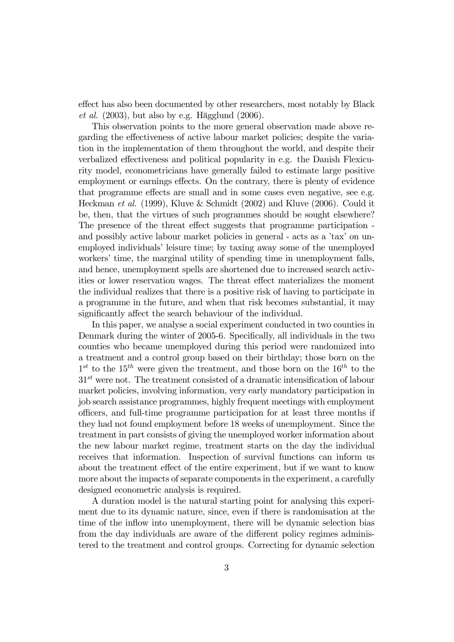effect has also been documented by other researchers, most notably by Black et al.  $(2003)$ , but also by e.g. Hägglund  $(2006)$ .

This observation points to the more general observation made above regarding the effectiveness of active labour market policies; despite the variation in the implementation of them throughout the world, and despite their verbalized effectiveness and political popularity in e.g. the Danish Flexicurity model, econometricians have generally failed to estimate large positive employment or earnings effects. On the contrary, there is plenty of evidence that programme effects are small and in some cases even negative, see e.g. Heckman et al. (1999), Kluve & Schmidt (2002) and Kluve (2006). Could it be, then, that the virtues of such programmes should be sought elsewhere? The presence of the threat effect suggests that programme participation and possibly active labour market policies in general - acts as a 'tax' on unemployed individuals' leisure time; by taxing away some of the unemployed workers' time, the marginal utility of spending time in unemployment falls, and hence, unemployment spells are shortened due to increased search activities or lower reservation wages. The threat effect materializes the moment the individual realizes that there is a positive risk of having to participate in a programme in the future, and when that risk becomes substantial, it may significantly affect the search behaviour of the individual.

In this paper, we analyse a social experiment conducted in two counties in Denmark during the winter of 2005-6. Specifically, all individuals in the two counties who became unemployed during this period were randomized into a treatment and a control group based on their birthday; those born on the  $1^{st}$  to the  $15^{th}$  were given the treatment, and those born on the  $16^{th}$  to the  $31<sup>st</sup>$  were not. The treatment consisted of a dramatic intensification of labour market policies, involving information, very early mandatory participation in job search assistance programmes, highly frequent meetings with employment officers, and full-time programme participation for at least three months if they had not found employment before 18 weeks of unemployment. Since the treatment in part consists of giving the unemployed worker information about the new labour market regime, treatment starts on the day the individual receives that information. Inspection of survival functions can inform us about the treatment effect of the entire experiment, but if we want to know more about the impacts of separate components in the experiment, a carefully designed econometric analysis is required.

A duration model is the natural starting point for analysing this experiment due to its dynamic nature, since, even if there is randomisation at the time of the inflow into unemployment, there will be dynamic selection bias from the day individuals are aware of the different policy regimes administered to the treatment and control groups. Correcting for dynamic selection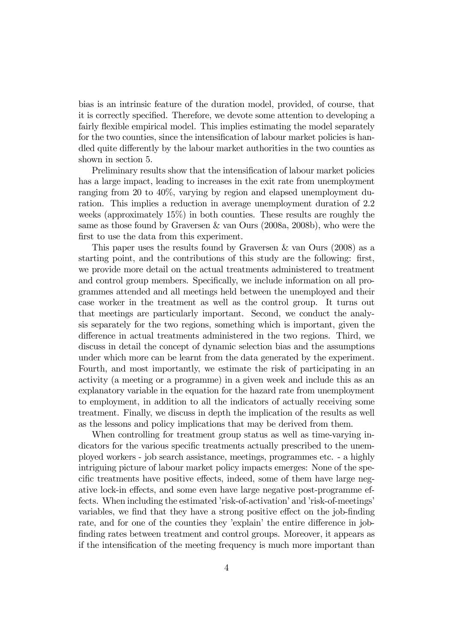bias is an intrinsic feature of the duration model, provided, of course, that it is correctly specified. Therefore, we devote some attention to developing a fairly flexible empirical model. This implies estimating the model separately for the two counties, since the intensification of labour market policies is handled quite differently by the labour market authorities in the two counties as shown in section 5.

Preliminary results show that the intensification of labour market policies has a large impact, leading to increases in the exit rate from unemployment ranging from 20 to 40%, varying by region and elapsed unemployment duration. This implies a reduction in average unemployment duration of 2.2 weeks (approximately 15%) in both counties. These results are roughly the same as those found by Graversen & van Ours (2008a, 2008b), who were the first to use the data from this experiment.

This paper uses the results found by Graversen & van Ours (2008) as a starting point, and the contributions of this study are the following: first, we provide more detail on the actual treatments administered to treatment and control group members. Specifically, we include information on all programmes attended and all meetings held between the unemployed and their case worker in the treatment as well as the control group. It turns out that meetings are particularly important. Second, we conduct the analysis separately for the two regions, something which is important, given the difference in actual treatments administered in the two regions. Third, we discuss in detail the concept of dynamic selection bias and the assumptions under which more can be learnt from the data generated by the experiment. Fourth, and most importantly, we estimate the risk of participating in an activity (a meeting or a programme) in a given week and include this as an explanatory variable in the equation for the hazard rate from unemployment to employment, in addition to all the indicators of actually receiving some treatment. Finally, we discuss in depth the implication of the results as well as the lessons and policy implications that may be derived from them.

When controlling for treatment group status as well as time-varying indicators for the various specific treatments actually prescribed to the unemployed workers - job search assistance, meetings, programmes etc. - a highly intriguing picture of labour market policy impacts emerges: None of the specific treatments have positive effects, indeed, some of them have large negative lock-in effects, and some even have large negative post-programme effects. When including the estimated 'risk-of-activation' and 'risk-of-meetings' variables, we find that they have a strong positive effect on the job-finding rate, and for one of the counties they 'explain' the entire difference in jobfinding rates between treatment and control groups. Moreover, it appears as if the intensification of the meeting frequency is much more important than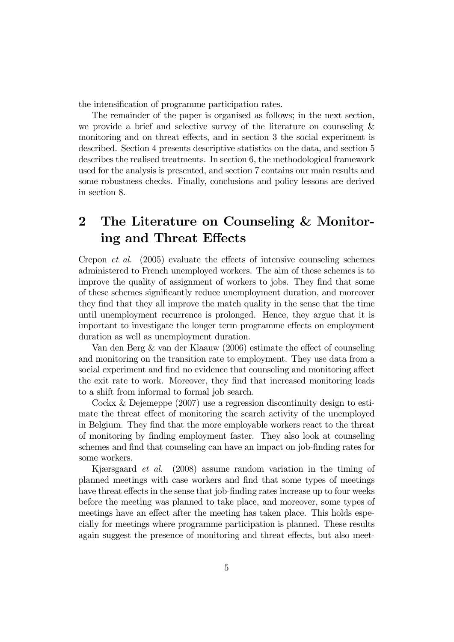the intensification of programme participation rates.

The remainder of the paper is organised as follows; in the next section, we provide a brief and selective survey of the literature on counseling & monitoring and on threat effects, and in section 3 the social experiment is described. Section 4 presents descriptive statistics on the data, and section 5 describes the realised treatments. In section 6, the methodological framework used for the analysis is presented, and section 7 contains our main results and some robustness checks. Finally, conclusions and policy lessons are derived in section 8.

## 2 The Literature on Counseling & Monitoring and Threat Effects

Crepon et al. (2005) evaluate the effects of intensive counseling schemes administered to French unemployed workers. The aim of these schemes is to improve the quality of assignment of workers to jobs. They find that some of these schemes significantly reduce unemployment duration, and moreover they find that they all improve the match quality in the sense that the time until unemployment recurrence is prolonged. Hence, they argue that it is important to investigate the longer term programme effects on employment duration as well as unemployment duration.

Van den Berg & van der Klaauw (2006) estimate the effect of counseling and monitoring on the transition rate to employment. They use data from a social experiment and find no evidence that counseling and monitoring affect the exit rate to work. Moreover, they find that increased monitoring leads to a shift from informal to formal job search.

Cockx & Dejemeppe (2007) use a regression discontinuity design to estimate the threat effect of monitoring the search activity of the unemployed in Belgium. They find that the more employable workers react to the threat of monitoring by finding employment faster. They also look at counseling schemes and find that counseling can have an impact on job-finding rates for some workers.

Kjærsgaard et al. (2008) assume random variation in the timing of planned meetings with case workers and find that some types of meetings have threat effects in the sense that job-finding rates increase up to four weeks before the meeting was planned to take place, and moreover, some types of meetings have an effect after the meeting has taken place. This holds especially for meetings where programme participation is planned. These results again suggest the presence of monitoring and threat effects, but also meet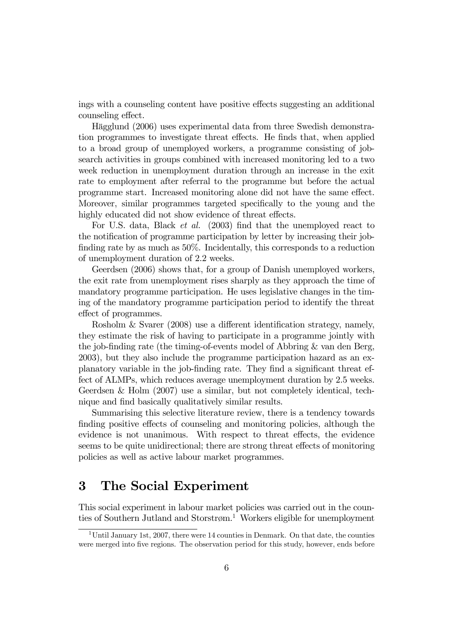ings with a counseling content have positive effects suggesting an additional counseling effect.

Hägglund (2006) uses experimental data from three Swedish demonstration programmes to investigate threat effects. He finds that, when applied to a broad group of unemployed workers, a programme consisting of jobsearch activities in groups combined with increased monitoring led to a two week reduction in unemployment duration through an increase in the exit rate to employment after referral to the programme but before the actual programme start. Increased monitoring alone did not have the same effect. Moreover, similar programmes targeted specifically to the young and the highly educated did not show evidence of threat effects.

For U.S. data, Black et al. (2003) find that the unemployed react to the notification of programme participation by letter by increasing their jobfinding rate by as much as 50%. Incidentally, this corresponds to a reduction of unemployment duration of 2.2 weeks.

Geerdsen (2006) shows that, for a group of Danish unemployed workers, the exit rate from unemployment rises sharply as they approach the time of mandatory programme participation. He uses legislative changes in the timing of the mandatory programme participation period to identify the threat effect of programmes.

Rosholm & Svarer (2008) use a different identification strategy, namely, they estimate the risk of having to participate in a programme jointly with the job-finding rate (the timing-of-events model of Abbring & van den Berg, 2003), but they also include the programme participation hazard as an explanatory variable in the job-finding rate. They find a significant threat effect of ALMPs, which reduces average unemployment duration by 2.5 weeks. Geerdsen & Holm (2007) use a similar, but not completely identical, technique and find basically qualitatively similar results.

Summarising this selective literature review, there is a tendency towards finding positive effects of counseling and monitoring policies, although the evidence is not unanimous. With respect to threat effects, the evidence seems to be quite unidirectional; there are strong threat effects of monitoring policies as well as active labour market programmes.

## 3 The Social Experiment

This social experiment in labour market policies was carried out in the counties of Southern Jutland and Storstrøm.<sup>1</sup> Workers eligible for unemployment

<sup>&</sup>lt;sup>1</sup>Until January 1st, 2007, there were 14 counties in Denmark. On that date, the counties were merged into five regions. The observation period for this study, however, ends before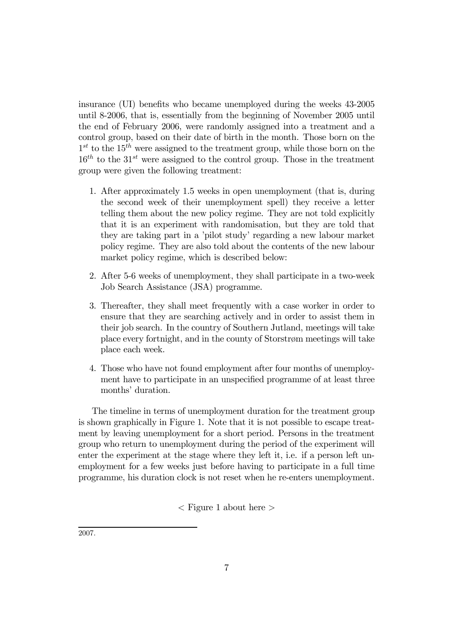insurance (UI) benefits who became unemployed during the weeks 43-2005 until 8-2006, that is, essentially from the beginning of November 2005 until the end of February 2006, were randomly assigned into a treatment and a control group, based on their date of birth in the month. Those born on the  $1^{st}$  to the  $15^{th}$  were assigned to the treatment group, while those born on the  $16<sup>th</sup>$  to the 31<sup>st</sup> were assigned to the control group. Those in the treatment group were given the following treatment:

- 1. After approximately 1.5 weeks in open unemployment (that is, during the second week of their unemployment spell) they receive a letter telling them about the new policy regime. They are not told explicitly that it is an experiment with randomisation, but they are told that they are taking part in a 'pilot study' regarding a new labour market policy regime. They are also told about the contents of the new labour market policy regime, which is described below:
- 2. After 5-6 weeks of unemployment, they shall participate in a two-week Job Search Assistance (JSA) programme.
- 3. Thereafter, they shall meet frequently with a case worker in order to ensure that they are searching actively and in order to assist them in their job search. In the country of Southern Jutland, meetings will take place every fortnight, and in the county of Storstrøm meetings will take place each week.
- 4. Those who have not found employment after four months of unemployment have to participate in an unspecified programme of at least three months' duration.

The timeline in terms of unemployment duration for the treatment group is shown graphically in Figure 1. Note that it is not possible to escape treatment by leaving unemployment for a short period. Persons in the treatment group who return to unemployment during the period of the experiment will enter the experiment at the stage where they left it, i.e. if a person left unemployment for a few weeks just before having to participate in a full time programme, his duration clock is not reset when he re-enters unemployment.

 $\langle$  Figure 1 about here  $\rangle$ 

2007.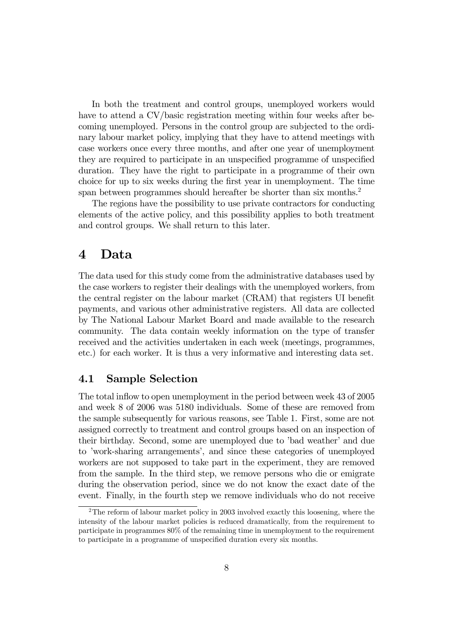In both the treatment and control groups, unemployed workers would have to attend a CV/basic registration meeting within four weeks after becoming unemployed. Persons in the control group are subjected to the ordinary labour market policy, implying that they have to attend meetings with case workers once every three months, and after one year of unemployment they are required to participate in an unspecified programme of unspecified duration. They have the right to participate in a programme of their own choice for up to six weeks during the first year in unemployment. The time span between programmes should hereafter be shorter than six months.<sup>2</sup>

The regions have the possibility to use private contractors for conducting elements of the active policy, and this possibility applies to both treatment and control groups. We shall return to this later.

## 4 Data

The data used for this study come from the administrative databases used by the case workers to register their dealings with the unemployed workers, from the central register on the labour market (CRAM) that registers UI benefit payments, and various other administrative registers. All data are collected by The National Labour Market Board and made available to the research community. The data contain weekly information on the type of transfer received and the activities undertaken in each week (meetings, programmes, etc.) for each worker. It is thus a very informative and interesting data set.

#### 4.1 Sample Selection

The total inflow to open unemployment in the period between week 43 of 2005 and week 8 of 2006 was 5180 individuals. Some of these are removed from the sample subsequently for various reasons, see Table 1. First, some are not assigned correctly to treatment and control groups based on an inspection of their birthday. Second, some are unemployed due to 'bad weather' and due to 'work-sharing arrangements', and since these categories of unemployed workers are not supposed to take part in the experiment, they are removed from the sample. In the third step, we remove persons who die or emigrate during the observation period, since we do not know the exact date of the event. Finally, in the fourth step we remove individuals who do not receive

<sup>&</sup>lt;sup>2</sup>The reform of labour market policy in 2003 involved exactly this loosening, where the intensity of the labour market policies is reduced dramatically, from the requirement to participate in programmes 80% of the remaining time in unemployment to the requirement to participate in a programme of unspecified duration every six months.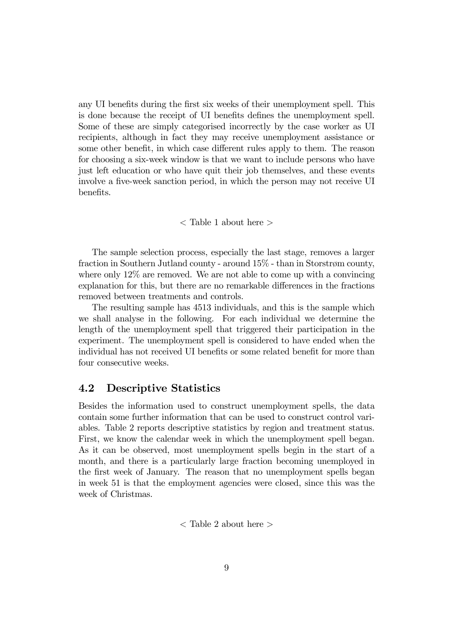any UI benefits during the first six weeks of their unemployment spell. This is done because the receipt of UI benefits defines the unemployment spell. Some of these are simply categorised incorrectly by the case worker as UI recipients, although in fact they may receive unemployment assistance or some other benefit, in which case different rules apply to them. The reason for choosing a six-week window is that we want to include persons who have just left education or who have quit their job themselves, and these events involve a five-week sanction period, in which the person may not receive UI benefits.

#### < Table 1 about here >

The sample selection process, especially the last stage, removes a larger fraction in Southern Jutland county - around 15% - than in Storstrøm county, where only 12% are removed. We are not able to come up with a convincing explanation for this, but there are no remarkable differences in the fractions removed between treatments and controls.

The resulting sample has 4513 individuals, and this is the sample which we shall analyse in the following. For each individual we determine the length of the unemployment spell that triggered their participation in the experiment. The unemployment spell is considered to have ended when the individual has not received UI benefits or some related benefit for more than four consecutive weeks.

#### 4.2 Descriptive Statistics

Besides the information used to construct unemployment spells, the data contain some further information that can be used to construct control variables. Table 2 reports descriptive statistics by region and treatment status. First, we know the calendar week in which the unemployment spell began. As it can be observed, most unemployment spells begin in the start of a month, and there is a particularly large fraction becoming unemployed in the first week of January. The reason that no unemployment spells began in week 51 is that the employment agencies were closed, since this was the week of Christmas.

< Table 2 about here >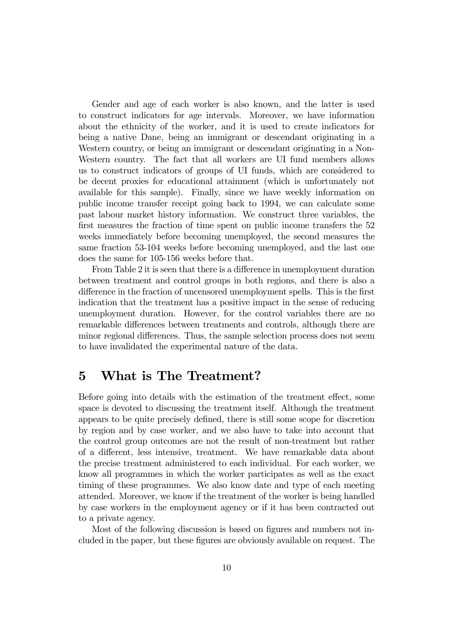Gender and age of each worker is also known, and the latter is used to construct indicators for age intervals. Moreover, we have information about the ethnicity of the worker, and it is used to create indicators for being a native Dane, being an immigrant or descendant originating in a Western country, or being an immigrant or descendant originating in a Non-Western country. The fact that all workers are UI fund members allows us to construct indicators of groups of UI funds, which are considered to be decent proxies for educational attainment (which is unfortunately not available for this sample). Finally, since we have weekly information on public income transfer receipt going back to 1994, we can calculate some past labour market history information. We construct three variables, the first measures the fraction of time spent on public income transfers the 52 weeks immediately before becoming unemployed, the second measures the same fraction 53-104 weeks before becoming unemployed, and the last one does the same for 105-156 weeks before that.

From Table 2 it is seen that there is a difference in unemployment duration between treatment and control groups in both regions, and there is also a difference in the fraction of uncensored unemployment spells. This is the first indication that the treatment has a positive impact in the sense of reducing unemployment duration. However, for the control variables there are no remarkable differences between treatments and controls, although there are minor regional differences. Thus, the sample selection process does not seem to have invalidated the experimental nature of the data.

## 5 What is The Treatment?

Before going into details with the estimation of the treatment effect, some space is devoted to discussing the treatment itself. Although the treatment appears to be quite precisely defined, there is still some scope for discretion by region and by case worker, and we also have to take into account that the control group outcomes are not the result of non-treatment but rather of a different, less intensive, treatment. We have remarkable data about the precise treatment administered to each individual. For each worker, we know all programmes in which the worker participates as well as the exact timing of these programmes. We also know date and type of each meeting attended. Moreover, we know if the treatment of the worker is being handled by case workers in the employment agency or if it has been contracted out to a private agency.

Most of the following discussion is based on figures and numbers not included in the paper, but these figures are obviously available on request. The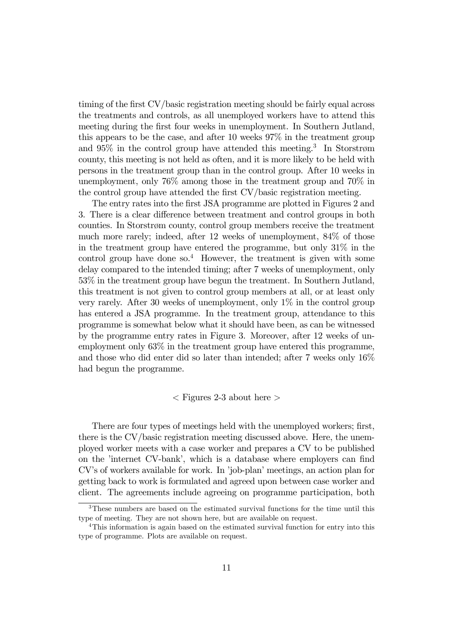timing of the first CV/basic registration meeting should be fairly equal across the treatments and controls, as all unemployed workers have to attend this meeting during the first four weeks in unemployment. In Southern Jutland, this appears to be the case, and after 10 weeks 97% in the treatment group and  $95\%$  in the control group have attended this meeting.<sup>3</sup> In Storstrøm county, this meeting is not held as often, and it is more likely to be held with persons in the treatment group than in the control group. After 10 weeks in unemployment, only 76% among those in the treatment group and 70% in the control group have attended the first CV/basic registration meeting.

The entry rates into the first JSA programme are plotted in Figures 2 and 3. There is a clear difference between treatment and control groups in both counties. In Storstrøm county, control group members receive the treatment much more rarely; indeed, after 12 weeks of unemployment, 84% of those in the treatment group have entered the programme, but only  $31\%$  in the control group have done so.<sup>4</sup> However, the treatment is given with some delay compared to the intended timing; after 7 weeks of unemployment, only 53% in the treatment group have begun the treatment. In Southern Jutland, this treatment is not given to control group members at all, or at least only very rarely. After 30 weeks of unemployment, only 1% in the control group has entered a JSA programme. In the treatment group, attendance to this programme is somewhat below what it should have been, as can be witnessed by the programme entry rates in Figure 3. Moreover, after 12 weeks of unemployment only 63% in the treatment group have entered this programme, and those who did enter did so later than intended; after 7 weeks only 16% had begun the programme.

#### $\langle$  Figures 2-3 about here  $>$

There are four types of meetings held with the unemployed workers; first, there is the CV/basic registration meeting discussed above. Here, the unemployed worker meets with a case worker and prepares a CV to be published on the 'internet CV-bank', which is a database where employers can find CV's of workers available for work. In 'job-plan' meetings, an action plan for getting back to work is formulated and agreed upon between case worker and client. The agreements include agreeing on programme participation, both

<sup>3</sup>These numbers are based on the estimated survival functions for the time until this type of meeting. They are not shown here, but are available on request.

<sup>&</sup>lt;sup>4</sup>This information is again based on the estimated survival function for entry into this type of programme. Plots are available on request.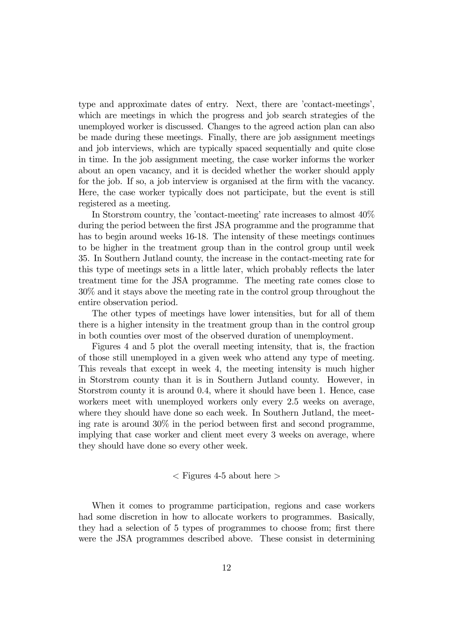type and approximate dates of entry. Next, there are 'contact-meetings', which are meetings in which the progress and job search strategies of the unemployed worker is discussed. Changes to the agreed action plan can also be made during these meetings. Finally, there are job assignment meetings and job interviews, which are typically spaced sequentially and quite close in time. In the job assignment meeting, the case worker informs the worker about an open vacancy, and it is decided whether the worker should apply for the job. If so, a job interview is organised at the firm with the vacancy. Here, the case worker typically does not participate, but the event is still registered as a meeting.

In Storstrøm country, the 'contact-meeting' rate increases to almost 40% during the period between the first JSA programme and the programme that has to begin around weeks 16-18. The intensity of these meetings continues to be higher in the treatment group than in the control group until week 35. In Southern Jutland county, the increase in the contact-meeting rate for this type of meetings sets in a little later, which probably reflects the later treatment time for the JSA programme. The meeting rate comes close to 30% and it stays above the meeting rate in the control group throughout the entire observation period.

The other types of meetings have lower intensities, but for all of them there is a higher intensity in the treatment group than in the control group in both counties over most of the observed duration of unemployment.

Figures 4 and 5 plot the overall meeting intensity, that is, the fraction of those still unemployed in a given week who attend any type of meeting. This reveals that except in week 4, the meeting intensity is much higher in Storstrøm county than it is in Southern Jutland county. However, in Storstrøm county it is around 0.4, where it should have been 1. Hence, case workers meet with unemployed workers only every 2.5 weeks on average, where they should have done so each week. In Southern Jutland, the meeting rate is around 30% in the period between first and second programme, implying that case worker and client meet every 3 weeks on average, where they should have done so every other week.

#### $\langle$  Figures 4-5 about here  $>$

When it comes to programme participation, regions and case workers had some discretion in how to allocate workers to programmes. Basically, they had a selection of 5 types of programmes to choose from; first there were the JSA programmes described above. These consist in determining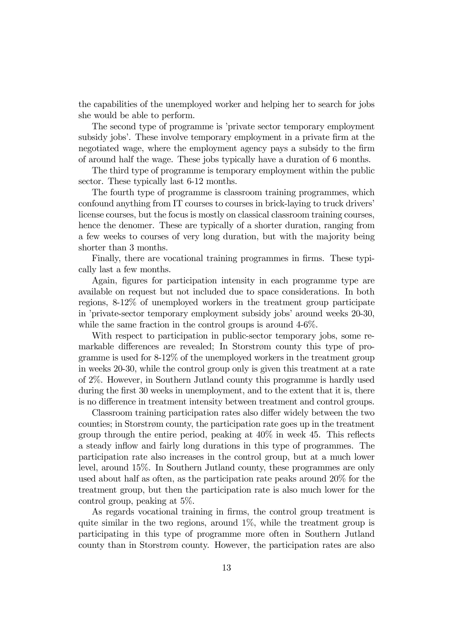the capabilities of the unemployed worker and helping her to search for jobs she would be able to perform.

The second type of programme is 'private sector temporary employment subsidy jobs'. These involve temporary employment in a private firm at the negotiated wage, where the employment agency pays a subsidy to the firm of around half the wage. These jobs typically have a duration of 6 months.

The third type of programme is temporary employment within the public sector. These typically last 6-12 months.

The fourth type of programme is classroom training programmes, which confound anything from IT courses to courses in brick-laying to truck drivers' license courses, but the focus is mostly on classical classroom training courses, hence the denomer. These are typically of a shorter duration, ranging from a few weeks to courses of very long duration, but with the majority being shorter than 3 months.

Finally, there are vocational training programmes in firms. These typically last a few months.

Again, figures for participation intensity in each programme type are available on request but not included due to space considerations. In both regions, 8-12% of unemployed workers in the treatment group participate in 'private-sector temporary employment subsidy jobs' around weeks 20-30, while the same fraction in the control groups is around  $4-6\%$ .

With respect to participation in public-sector temporary jobs, some remarkable differences are revealed; In Storstrøm county this type of programme is used for 8-12% of the unemployed workers in the treatment group in weeks 20-30, while the control group only is given this treatment at a rate of 2%. However, in Southern Jutland county this programme is hardly used during the first 30 weeks in unemployment, and to the extent that it is, there is no difference in treatment intensity between treatment and control groups.

Classroom training participation rates also differ widely between the two counties; in Storstrøm county, the participation rate goes up in the treatment group through the entire period, peaking at 40% in week 45. This reflects a steady inflow and fairly long durations in this type of programmes. The participation rate also increases in the control group, but at a much lower level, around 15%. In Southern Jutland county, these programmes are only used about half as often, as the participation rate peaks around 20% for the treatment group, but then the participation rate is also much lower for the control group, peaking at 5%.

As regards vocational training in firms, the control group treatment is quite similar in the two regions, around  $1\%$ , while the treatment group is participating in this type of programme more often in Southern Jutland county than in Storstrøm county. However, the participation rates are also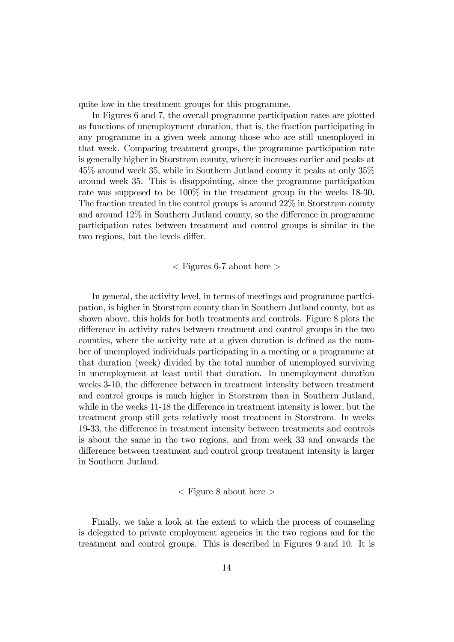quite low in the treatment groups for this programme.

In Figures 6 and 7, the overall programme participation rates are plotted as functions of unemployment duration, that is, the fraction participating in any programme in a given week among those who are still unemployed in that week. Comparing treatment groups, the programme participation rate is generally higher in Storstrøm county, where it increases earlier and peaks at 45% around week 35, while in Southern Jutland county it peaks at only 35% around week 35. This is disappointing, since the programme participation rate was supposed to be 100% in the treatment group in the weeks 18-30. The fraction treated in the control groups is around 22% in Storstrøm county and around 12% in Southern Jutland county, so the difference in programme participation rates between treatment and control groups is similar in the two regions, but the levels differ.

 $\langle$  Figures 6-7 about here  $>$ 

In general, the activity level, in terms of meetings and programme participation, is higher in Storstrøm county than in Southern Jutland county, but as shown above, this holds for both treatments and controls. Figure 8 plots the difference in activity rates between treatment and control groups in the two counties, where the activity rate at a given duration is defined as the number of unemployed individuals participating in a meeting or a programme at that duration (week) divided by the total number of unemployed surviving in unemployment at least until that duration. In unemployment duration weeks 3-10, the difference between in treatment intensity between treatment and control groups is much higher in Storstrøm than in Southern Jutland, while in the weeks 11-18 the difference in treatment intensity is lower, but the treatment group still gets relatively most treatment in Storstrøm. In weeks 19-33, the difference in treatment intensity between treatments and controls is about the same in the two regions, and from week 33 and onwards the difference between treatment and control group treatment intensity is larger in Southern Jutland.

 $\langle$  Figure 8 about here  $\langle$ 

Finally, we take a look at the extent to which the process of counseling is delegated to private employment agencies in the two regions and for the treatment and control groups. This is described in Figures 9 and 10. It is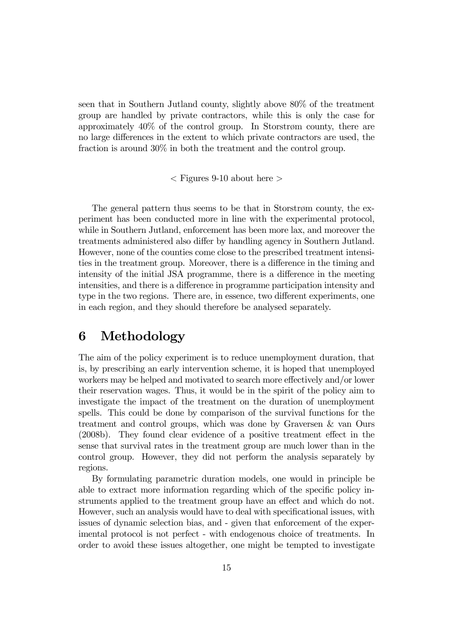seen that in Southern Jutland county, slightly above 80% of the treatment group are handled by private contractors, while this is only the case for approximately 40% of the control group. In Storstrøm county, there are no large differences in the extent to which private contractors are used, the fraction is around 30% in both the treatment and the control group.

 $\langle$  Figures 9-10 about here  $>$ 

The general pattern thus seems to be that in Storstrøm county, the experiment has been conducted more in line with the experimental protocol, while in Southern Jutland, enforcement has been more lax, and moreover the treatments administered also differ by handling agency in Southern Jutland. However, none of the counties come close to the prescribed treatment intensities in the treatment group. Moreover, there is a difference in the timing and intensity of the initial JSA programme, there is a difference in the meeting intensities, and there is a difference in programme participation intensity and type in the two regions. There are, in essence, two different experiments, one in each region, and they should therefore be analysed separately.

## 6 Methodology

The aim of the policy experiment is to reduce unemployment duration, that is, by prescribing an early intervention scheme, it is hoped that unemployed workers may be helped and motivated to search more effectively and/or lower their reservation wages. Thus, it would be in the spirit of the policy aim to investigate the impact of the treatment on the duration of unemployment spells. This could be done by comparison of the survival functions for the treatment and control groups, which was done by Graversen & van Ours (2008b). They found clear evidence of a positive treatment effect in the sense that survival rates in the treatment group are much lower than in the control group. However, they did not perform the analysis separately by regions.

By formulating parametric duration models, one would in principle be able to extract more information regarding which of the specific policy instruments applied to the treatment group have an effect and which do not. However, such an analysis would have to deal with specificational issues, with issues of dynamic selection bias, and - given that enforcement of the experimental protocol is not perfect - with endogenous choice of treatments. In order to avoid these issues altogether, one might be tempted to investigate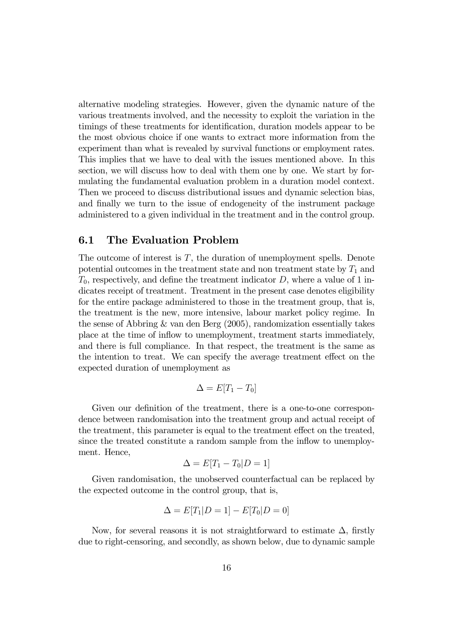alternative modeling strategies. However, given the dynamic nature of the various treatments involved, and the necessity to exploit the variation in the timings of these treatments for identification, duration models appear to be the most obvious choice if one wants to extract more information from the experiment than what is revealed by survival functions or employment rates. This implies that we have to deal with the issues mentioned above. In this section, we will discuss how to deal with them one by one. We start by formulating the fundamental evaluation problem in a duration model context. Then we proceed to discuss distributional issues and dynamic selection bias, and finally we turn to the issue of endogeneity of the instrument package administered to a given individual in the treatment and in the control group.

#### 6.1 The Evaluation Problem

The outcome of interest is  $T$ , the duration of unemployment spells. Denote potential outcomes in the treatment state and non treatment state by  $T_1$  and  $T_0$ , respectively, and define the treatment indicator D, where a value of 1 indicates receipt of treatment. Treatment in the present case denotes eligibility for the entire package administered to those in the treatment group, that is, the treatment is the new, more intensive, labour market policy regime. In the sense of Abbring & van den Berg (2005), randomization essentially takes place at the time of inflow to unemployment, treatment starts immediately, and there is full compliance. In that respect, the treatment is the same as the intention to treat. We can specify the average treatment effect on the expected duration of unemployment as

$$
\Delta = E[T_1 - T_0]
$$

Given our definition of the treatment, there is a one-to-one correspondence between randomisation into the treatment group and actual receipt of the treatment, this parameter is equal to the treatment effect on the treated, since the treated constitute a random sample from the inflow to unemployment. Hence,

$$
\Delta = E[T_1 - T_0 | D = 1]
$$

Given randomisation, the unobserved counterfactual can be replaced by the expected outcome in the control group, that is,

$$
\Delta = E[T_1|D = 1] - E[T_0|D = 0]
$$

Now, for several reasons it is not straightforward to estimate  $\Delta$ , firstly due to right-censoring, and secondly, as shown below, due to dynamic sample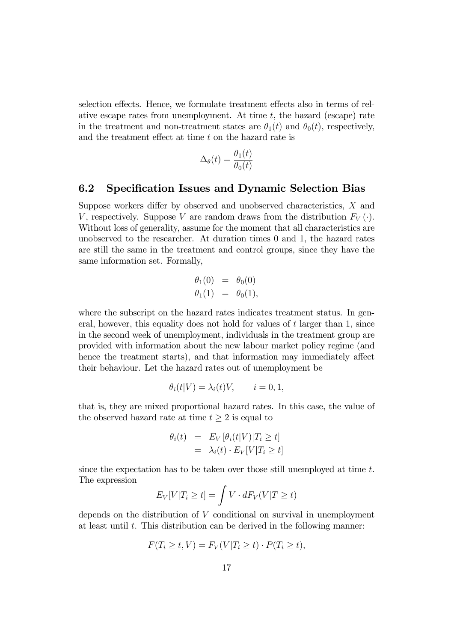selection effects. Hence, we formulate treatment effects also in terms of relative escape rates from unemployment. At time  $t$ , the hazard (escape) rate in the treatment and non-treatment states are  $\theta_1(t)$  and  $\theta_0(t)$ , respectively, and the treatment effect at time  $t$  on the hazard rate is

$$
\Delta_{\theta}(t) = \frac{\theta_1(t)}{\theta_0(t)}
$$

#### 6.2 Specification Issues and Dynamic Selection Bias

Suppose workers differ by observed and unobserved characteristics, X and V, respectively. Suppose V are random draws from the distribution  $F_V(\cdot)$ . Without loss of generality, assume for the moment that all characteristics are unobserved to the researcher. At duration times 0 and 1, the hazard rates are still the same in the treatment and control groups, since they have the same information set. Formally,

$$
\begin{array}{rcl}\n\theta_1(0) & = & \theta_0(0) \\
\theta_1(1) & = & \theta_0(1),\n\end{array}
$$

where the subscript on the hazard rates indicates treatment status. In general, however, this equality does not hold for values of  $t$  larger than 1, since in the second week of unemployment, individuals in the treatment group are provided with information about the new labour market policy regime (and hence the treatment starts), and that information may immediately affect their behaviour. Let the hazard rates out of unemployment be

$$
\theta_i(t|V) = \lambda_i(t)V, \qquad i = 0, 1,
$$

that is, they are mixed proportional hazard rates. In this case, the value of the observed hazard rate at time  $t \geq 2$  is equal to

$$
\begin{array}{rcl} \theta_i(t) & = & E_V \left[ \theta_i(t|V) | T_i \ge t \right] \\ & = & \lambda_i(t) \cdot E_V[V|T_i \ge t] \end{array}
$$

since the expectation has to be taken over those still unemployed at time  $t$ . The expression

$$
E_V[V|T_i \ge t] = \int V \cdot dF_V(V|T \ge t)
$$

depends on the distribution of  $V$  conditional on survival in unemployment at least until  $t$ . This distribution can be derived in the following manner:

$$
F(T_i \ge t, V) = F_V(V|T_i \ge t) \cdot P(T_i \ge t),
$$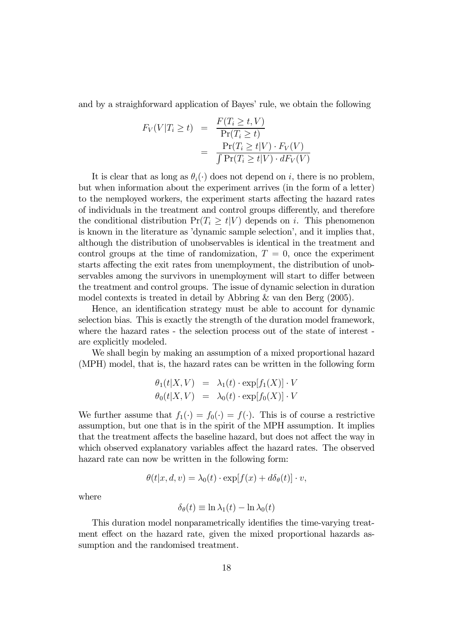and by a straighforward application of Bayes' rule, we obtain the following

$$
F_V(V|T_i \ge t) = \frac{F(T_i \ge t, V)}{\Pr(T_i \ge t)} = \frac{\Pr(T_i \ge t|V) \cdot F_V(V)}{\int \Pr(T_i \ge t|V) \cdot dF_V(V)}
$$

It is clear that as long as  $\theta_i(\cdot)$  does not depend on i, there is no problem, but when information about the experiment arrives (in the form of a letter) to the nemployed workers, the experiment starts affecting the hazard rates of individuals in the treatment and control groups differently, and therefore the conditional distribution  $Pr(T_i \geq t|V)$  depends on i. This phenomenon is known in the literature as 'dynamic sample selection', and it implies that, although the distribution of unobservables is identical in the treatment and control groups at the time of randomization,  $T = 0$ , once the experiment starts affecting the exit rates from unemployment, the distribution of unobservables among the survivors in unemployment will start to differ between the treatment and control groups. The issue of dynamic selection in duration model contexts is treated in detail by Abbring & van den Berg (2005).

Hence, an identification strategy must be able to account for dynamic selection bias. This is exactly the strength of the duration model framework, where the hazard rates - the selection process out of the state of interest are explicitly modeled.

We shall begin by making an assumption of a mixed proportional hazard (MPH) model, that is, the hazard rates can be written in the following form

$$
\theta_1(t|X, V) = \lambda_1(t) \cdot \exp[f_1(X)] \cdot V
$$
  

$$
\theta_0(t|X, V) = \lambda_0(t) \cdot \exp[f_0(X)] \cdot V
$$

We further assume that  $f_1(\cdot) = f_0(\cdot) = f(\cdot)$ . This is of course a restrictive assumption, but one that is in the spirit of the MPH assumption. It implies that the treatment affects the baseline hazard, but does not affect the way in which observed explanatory variables affect the hazard rates. The observed hazard rate can now be written in the following form:

$$
\theta(t|x, d, v) = \lambda_0(t) \cdot \exp[f(x) + d\delta_\theta(t)] \cdot v,
$$

where

$$
\delta_{\theta}(t) \equiv \ln \lambda_1(t) - \ln \lambda_0(t)
$$

This duration model nonparametrically identifies the time-varying treatment effect on the hazard rate, given the mixed proportional hazards assumption and the randomised treatment.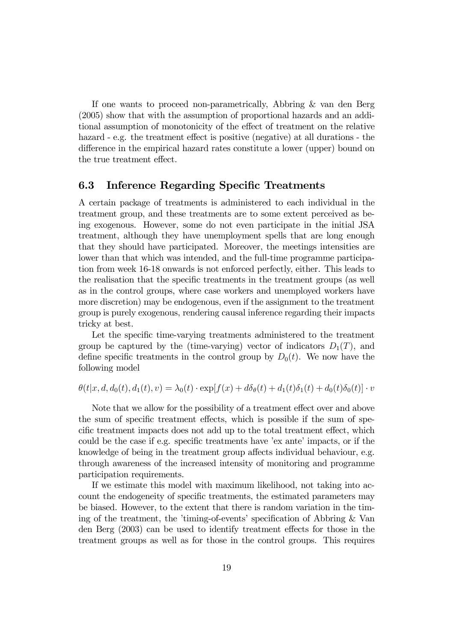If one wants to proceed non-parametrically, Abbring & van den Berg (2005) show that with the assumption of proportional hazards and an additional assumption of monotonicity of the effect of treatment on the relative hazard - e.g. the treatment effect is positive (negative) at all durations - the difference in the empirical hazard rates constitute a lower (upper) bound on the true treatment effect.

#### 6.3 Inference Regarding Specific Treatments

A certain package of treatments is administered to each individual in the treatment group, and these treatments are to some extent perceived as being exogenous. However, some do not even participate in the initial JSA treatment, although they have unemployment spells that are long enough that they should have participated. Moreover, the meetings intensities are lower than that which was intended, and the full-time programme participation from week 16-18 onwards is not enforced perfectly, either. This leads to the realisation that the specific treatments in the treatment groups (as well as in the control groups, where case workers and unemployed workers have more discretion) may be endogenous, even if the assignment to the treatment group is purely exogenous, rendering causal inference regarding their impacts tricky at best.

Let the specific time-varying treatments administered to the treatment group be captured by the (time-varying) vector of indicators  $D_1(T)$ , and define specific treatments in the control group by  $D_0(t)$ . We now have the following model

$$
\theta(t|x, d, d_0(t), d_1(t), v) = \lambda_0(t) \cdot \exp[f(x) + d\delta_\theta(t) + d_1(t)\delta_1(t) + d_0(t)\delta_0(t)] \cdot v
$$

Note that we allow for the possibility of a treatment effect over and above the sum of specific treatment effects, which is possible if the sum of specific treatment impacts does not add up to the total treatment effect, which could be the case if e.g. specific treatments have 'ex ante' impacts, or if the knowledge of being in the treatment group affects individual behaviour, e.g. through awareness of the increased intensity of monitoring and programme participation requirements.

If we estimate this model with maximum likelihood, not taking into account the endogeneity of specific treatments, the estimated parameters may be biased. However, to the extent that there is random variation in the timing of the treatment, the 'timing-of-events' specification of Abbring & Van den Berg (2003) can be used to identify treatment effects for those in the treatment groups as well as for those in the control groups. This requires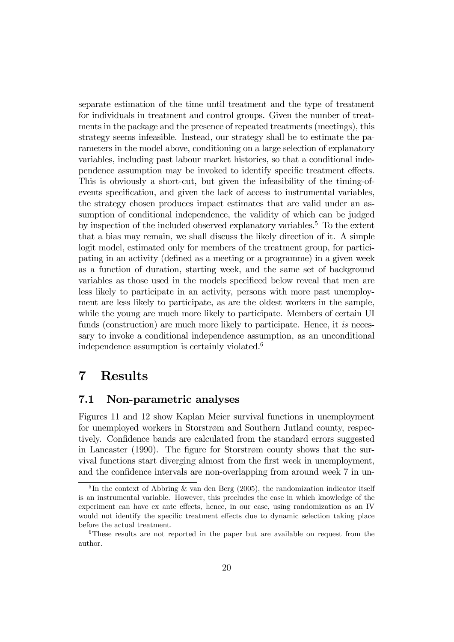separate estimation of the time until treatment and the type of treatment for individuals in treatment and control groups. Given the number of treatments in the package and the presence of repeated treatments (meetings), this strategy seems infeasible. Instead, our strategy shall be to estimate the parameters in the model above, conditioning on a large selection of explanatory variables, including past labour market histories, so that a conditional independence assumption may be invoked to identify specific treatment effects. This is obviously a short-cut, but given the infeasibility of the timing-ofevents specification, and given the lack of access to instrumental variables, the strategy chosen produces impact estimates that are valid under an assumption of conditional independence, the validity of which can be judged by inspection of the included observed explanatory variables.5 To the extent that a bias may remain, we shall discuss the likely direction of it. A simple logit model, estimated only for members of the treatment group, for participating in an activity (defined as a meeting or a programme) in a given week as a function of duration, starting week, and the same set of background variables as those used in the models specificed below reveal that men are less likely to participate in an activity, persons with more past unemployment are less likely to participate, as are the oldest workers in the sample, while the young are much more likely to participate. Members of certain UI funds (construction) are much more likely to participate. Hence, it is necessary to invoke a conditional independence assumption, as an unconditional independence assumption is certainly violated.6

## 7 Results

#### 7.1 Non-parametric analyses

Figures 11 and 12 show Kaplan Meier survival functions in unemployment for unemployed workers in Storstrøm and Southern Jutland county, respectively. Confidence bands are calculated from the standard errors suggested in Lancaster (1990). The figure for Storstrøm county shows that the survival functions start diverging almost from the first week in unemployment, and the confidence intervals are non-overlapping from around week 7 in un-

<sup>&</sup>lt;sup>5</sup>In the context of Abbring & van den Berg (2005), the randomization indicator itself is an instrumental variable. However, this precludes the case in which knowledge of the experiment can have ex ante effects, hence, in our case, using randomization as an IV would not identify the specific treatment effects due to dynamic selection taking place before the actual treatment.

<sup>6</sup>These results are not reported in the paper but are available on request from the author.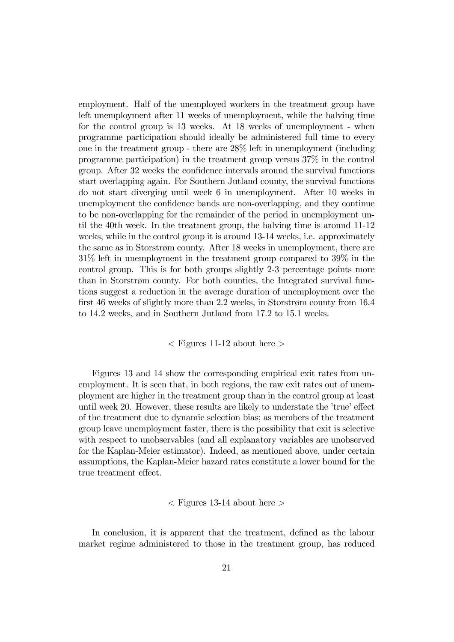employment. Half of the unemployed workers in the treatment group have left unemployment after 11 weeks of unemployment, while the halving time for the control group is 13 weeks. At 18 weeks of unemployment - when programme participation should ideally be administered full time to every one in the treatment group - there are 28% left in unemployment (including programme participation) in the treatment group versus 37% in the control group. After 32 weeks the confidence intervals around the survival functions start overlapping again. For Southern Jutland county, the survival functions do not start diverging until week 6 in unemployment. After 10 weeks in unemployment the confidence bands are non-overlapping, and they continue to be non-overlapping for the remainder of the period in unemployment until the 40th week. In the treatment group, the halving time is around 11-12 weeks, while in the control group it is around 13-14 weeks, i.e. approximately the same as in Storstrøm county. After 18 weeks in unemployment, there are 31% left in unemployment in the treatment group compared to 39% in the control group. This is for both groups slightly 2-3 percentage points more than in Storstrøm county. For both counties, the Integrated survival functions suggest a reduction in the average duration of unemployment over the first 46 weeks of slightly more than 2.2 weeks, in Storstrøm county from 16.4 to 14.2 weeks, and in Southern Jutland from 17.2 to 15.1 weeks.

#### $\langle$  Figures 11-12 about here  $>$

Figures 13 and 14 show the corresponding empirical exit rates from unemployment. It is seen that, in both regions, the raw exit rates out of unemployment are higher in the treatment group than in the control group at least until week 20. However, these results are likely to understate the 'true' effect of the treatment due to dynamic selection bias; as members of the treatment group leave unemployment faster, there is the possibility that exit is selective with respect to unobservables (and all explanatory variables are unobserved for the Kaplan-Meier estimator). Indeed, as mentioned above, under certain assumptions, the Kaplan-Meier hazard rates constitute a lower bound for the true treatment effect.

#### $\langle$  Figures 13-14 about here  $>$

In conclusion, it is apparent that the treatment, defined as the labour market regime administered to those in the treatment group, has reduced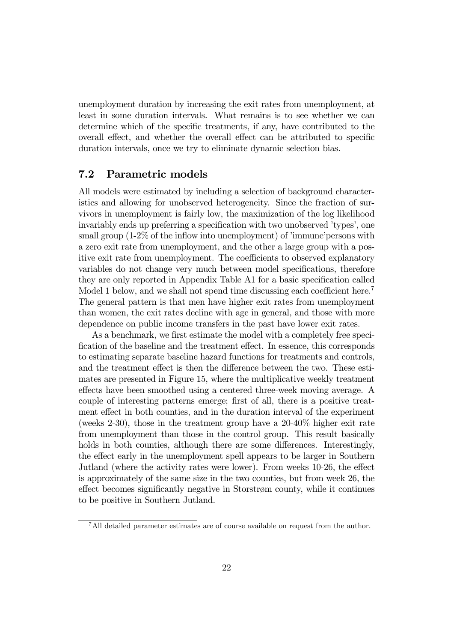unemployment duration by increasing the exit rates from unemployment, at least in some duration intervals. What remains is to see whether we can determine which of the specific treatments, if any, have contributed to the overall effect, and whether the overall effect can be attributed to specific duration intervals, once we try to eliminate dynamic selection bias.

#### 7.2 Parametric models

All models were estimated by including a selection of background characteristics and allowing for unobserved heterogeneity. Since the fraction of survivors in unemployment is fairly low, the maximization of the log likelihood invariably ends up preferring a specification with two unobserved 'types', one small group (1-2% of the inflow into unemployment) of 'immune'persons with a zero exit rate from unemployment, and the other a large group with a positive exit rate from unemployment. The coefficients to observed explanatory variables do not change very much between model specifications, therefore they are only reported in Appendix Table A1 for a basic specification called Model 1 below, and we shall not spend time discussing each coefficient here.<sup>7</sup> The general pattern is that men have higher exit rates from unemployment than women, the exit rates decline with age in general, and those with more dependence on public income transfers in the past have lower exit rates.

As a benchmark, we first estimate the model with a completely free specification of the baseline and the treatment effect. In essence, this corresponds to estimating separate baseline hazard functions for treatments and controls, and the treatment effect is then the difference between the two. These estimates are presented in Figure 15, where the multiplicative weekly treatment effects have been smoothed using a centered three-week moving average. A couple of interesting patterns emerge; first of all, there is a positive treatment effect in both counties, and in the duration interval of the experiment (weeks 2-30), those in the treatment group have a 20-40% higher exit rate from unemployment than those in the control group. This result basically holds in both counties, although there are some differences. Interestingly, the effect early in the unemployment spell appears to be larger in Southern Jutland (where the activity rates were lower). From weeks 10-26, the effect is approximately of the same size in the two counties, but from week 26, the effect becomes significantly negative in Storstrøm county, while it continues to be positive in Southern Jutland.

<sup>7</sup>All detailed parameter estimates are of course available on request from the author.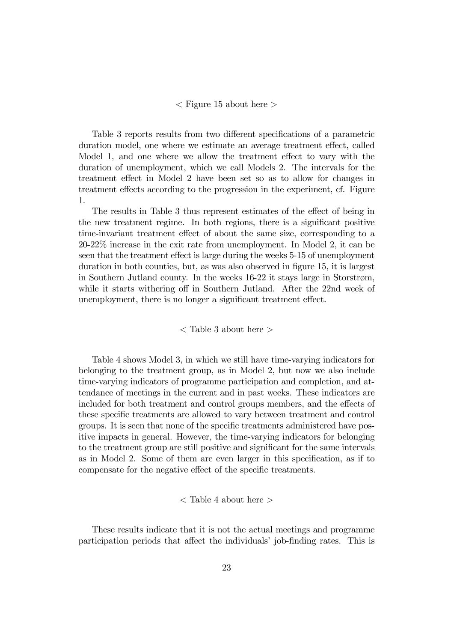#### $\langle$  Figure 15 about here  $\rangle$

Table 3 reports results from two different specifications of a parametric duration model, one where we estimate an average treatment effect, called Model 1, and one where we allow the treatment effect to vary with the duration of unemployment, which we call Models 2. The intervals for the treatment effect in Model 2 have been set so as to allow for changes in treatment effects according to the progression in the experiment, cf. Figure 1.

The results in Table 3 thus represent estimates of the effect of being in the new treatment regime. In both regions, there is a significant positive time-invariant treatment effect of about the same size, corresponding to a 20-22% increase in the exit rate from unemployment. In Model 2, it can be seen that the treatment effect is large during the weeks 5-15 of unemployment duration in both counties, but, as was also observed in figure 15, it is largest in Southern Jutland county. In the weeks 16-22 it stays large in Storstrøm, while it starts withering off in Southern Jutland. After the 22nd week of unemployment, there is no longer a significant treatment effect.

#### $\langle$  Table 3 about here  $>$

Table 4 shows Model 3, in which we still have time-varying indicators for belonging to the treatment group, as in Model 2, but now we also include time-varying indicators of programme participation and completion, and attendance of meetings in the current and in past weeks. These indicators are included for both treatment and control groups members, and the effects of these specific treatments are allowed to vary between treatment and control groups. It is seen that none of the specific treatments administered have positive impacts in general. However, the time-varying indicators for belonging to the treatment group are still positive and significant for the same intervals as in Model 2. Some of them are even larger in this specification, as if to compensate for the negative effect of the specific treatments.

#### $\langle$  Table 4 about here  $>$

These results indicate that it is not the actual meetings and programme participation periods that affect the individuals' job-finding rates. This is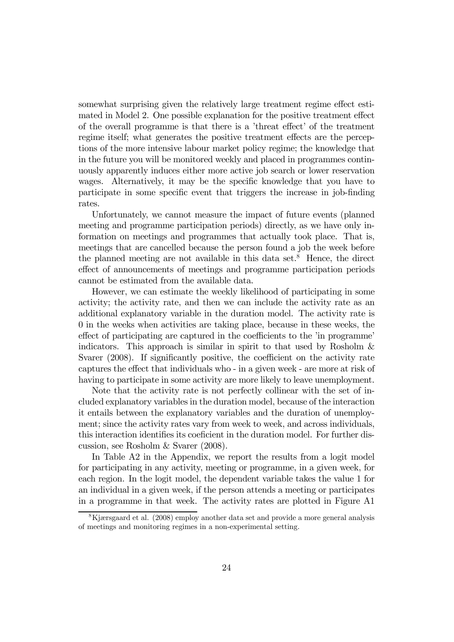somewhat surprising given the relatively large treatment regime effect estimated in Model 2. One possible explanation for the positive treatment effect of the overall programme is that there is a 'threat effect' of the treatment regime itself; what generates the positive treatment effects are the perceptions of the more intensive labour market policy regime; the knowledge that in the future you will be monitored weekly and placed in programmes continuously apparently induces either more active job search or lower reservation wages. Alternatively, it may be the specific knowledge that you have to participate in some specific event that triggers the increase in job-finding rates.

Unfortunately, we cannot measure the impact of future events (planned meeting and programme participation periods) directly, as we have only information on meetings and programmes that actually took place. That is, meetings that are cancelled because the person found a job the week before the planned meeting are not available in this data set.<sup>8</sup> Hence, the direct effect of announcements of meetings and programme participation periods cannot be estimated from the available data.

However, we can estimate the weekly likelihood of participating in some activity; the activity rate, and then we can include the activity rate as an additional explanatory variable in the duration model. The activity rate is 0 in the weeks when activities are taking place, because in these weeks, the effect of participating are captured in the coefficients to the 'in programme' indicators. This approach is similar in spirit to that used by Rosholm  $\&$ Svarer (2008). If significantly positive, the coefficient on the activity rate captures the effect that individuals who - in a given week - are more at risk of having to participate in some activity are more likely to leave unemployment.

Note that the activity rate is not perfectly collinear with the set of included explanatory variables in the duration model, because of the interaction it entails between the explanatory variables and the duration of unemployment; since the activity rates vary from week to week, and across individuals, this interaction identifies its coeficient in the duration model. For further discussion, see Rosholm & Svarer (2008).

In Table A2 in the Appendix, we report the results from a logit model for participating in any activity, meeting or programme, in a given week, for each region. In the logit model, the dependent variable takes the value 1 for an individual in a given week, if the person attends a meeting or participates in a programme in that week. The activity rates are plotted in Figure A1

<sup>8</sup>Kjærsgaard et al. (2008) employ another data set and provide a more general analysis of meetings and monitoring regimes in a non-experimental setting.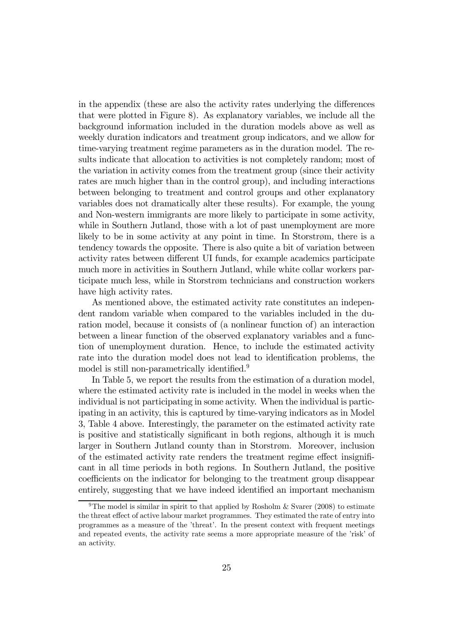in the appendix (these are also the activity rates underlying the differences that were plotted in Figure 8). As explanatory variables, we include all the background information included in the duration models above as well as weekly duration indicators and treatment group indicators, and we allow for time-varying treatment regime parameters as in the duration model. The results indicate that allocation to activities is not completely random; most of the variation in activity comes from the treatment group (since their activity rates are much higher than in the control group), and including interactions between belonging to treatment and control groups and other explanatory variables does not dramatically alter these results). For example, the young and Non-western immigrants are more likely to participate in some activity, while in Southern Jutland, those with a lot of past unemployment are more likely to be in some activity at any point in time. In Storstrøm, there is a tendency towards the opposite. There is also quite a bit of variation between activity rates between different UI funds, for example academics participate much more in activities in Southern Jutland, while white collar workers participate much less, while in Storstrøm technicians and construction workers have high activity rates.

As mentioned above, the estimated activity rate constitutes an independent random variable when compared to the variables included in the duration model, because it consists of (a nonlinear function of) an interaction between a linear function of the observed explanatory variables and a function of unemployment duration. Hence, to include the estimated activity rate into the duration model does not lead to identification problems, the model is still non-parametrically identified.<sup>9</sup>

In Table 5, we report the results from the estimation of a duration model, where the estimated activity rate is included in the model in weeks when the individual is not participating in some activity. When the individual is participating in an activity, this is captured by time-varying indicators as in Model 3, Table 4 above. Interestingly, the parameter on the estimated activity rate is positive and statistically significant in both regions, although it is much larger in Southern Jutland county than in Storstrøm. Moreover, inclusion of the estimated activity rate renders the treatment regime effect insignificant in all time periods in both regions. In Southern Jutland, the positive coefficients on the indicator for belonging to the treatment group disappear entirely, suggesting that we have indeed identified an important mechanism

<sup>&</sup>lt;sup>9</sup>The model is similar in spirit to that applied by Rosholm & Svarer (2008) to estimate the threat effect of active labour market programmes. They estimated the rate of entry into programmes as a measure of the 'threat'. In the present context with frequent meetings and repeated events, the activity rate seems a more appropriate measure of the 'risk' of an activity.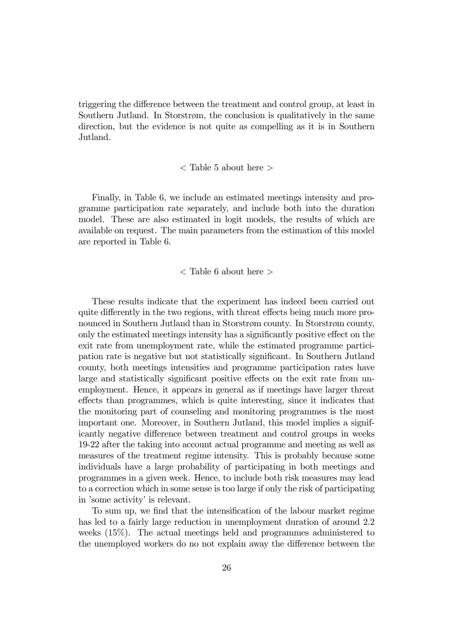triggering the difference between the treatment and control group, at least in Southern Jutland. In Storstrøm, the conclusion is qualitatively in the same direction, but the evidence is not quite as compelling as it is in Southern Jutland.

#### < Table 5 about here >

Finally, in Table 6, we include an estimated meetings intensity and programme participation rate separately, and include both into the duration model. These are also estimated in logit models, the results of which are available on request. The main parameters from the estimation of this model are reported in Table 6.

< Table 6 about here >

These results indicate that the experiment has indeed been carried out quite differently in the two regions, with threat effects being much more pronounced in Southern Jutland than in Storstrøm county. In Storstrøm county, only the estimated meetings intensity has a significantly positive effect on the exit rate from unemployment rate, while the estimated programme participation rate is negative but not statistically significant. In Southern Jutland county, both meetings intensities and programme participation rates have large and statistically significant positive effects on the exit rate from unemployment. Hence, it appears in general as if meetings have larger threat effects than programmes, which is quite interesting, since it indicates that the monitoring part of counseling and monitoring programmes is the most important one. Moreover, in Southern Jutland, this model implies a significantly negative difference between treatment and control groups in weeks 19-22 after the taking into account actual programme and meeting as well as measures of the treatment regime intensity. This is probably because some individuals have a large probability of participating in both meetings and programmes in a given week. Hence, to include both risk measures may lead to a correction which in some sense is too large if only the risk of participating in 'some activity' is relevant.

To sum up, we find that the intensification of the labour market regime has led to a fairly large reduction in unemployment duration of around 2.2 weeks (15%). The actual meetings held and programmes administered to the unemployed workers do no not explain away the difference between the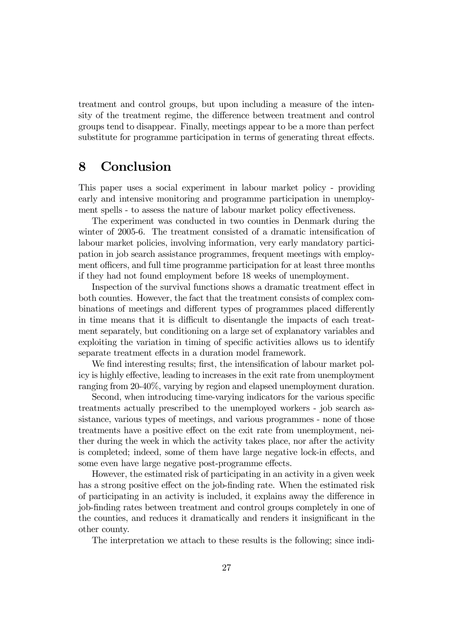treatment and control groups, but upon including a measure of the intensity of the treatment regime, the difference between treatment and control groups tend to disappear. Finally, meetings appear to be a more than perfect substitute for programme participation in terms of generating threat effects.

## 8 Conclusion

This paper uses a social experiment in labour market policy - providing early and intensive monitoring and programme participation in unemployment spells - to assess the nature of labour market policy effectiveness.

The experiment was conducted in two counties in Denmark during the winter of 2005-6. The treatment consisted of a dramatic intensification of labour market policies, involving information, very early mandatory participation in job search assistance programmes, frequent meetings with employment officers, and full time programme participation for at least three months if they had not found employment before 18 weeks of unemployment.

Inspection of the survival functions shows a dramatic treatment effect in both counties. However, the fact that the treatment consists of complex combinations of meetings and different types of programmes placed differently in time means that it is difficult to disentangle the impacts of each treatment separately, but conditioning on a large set of explanatory variables and exploiting the variation in timing of specific activities allows us to identify separate treatment effects in a duration model framework.

We find interesting results; first, the intensification of labour market policy is highly effective, leading to increases in the exit rate from unemployment ranging from 20-40%, varying by region and elapsed unemployment duration.

Second, when introducing time-varying indicators for the various specific treatments actually prescribed to the unemployed workers - job search assistance, various types of meetings, and various programmes - none of those treatments have a positive effect on the exit rate from unemployment, neither during the week in which the activity takes place, nor after the activity is completed; indeed, some of them have large negative lock-in effects, and some even have large negative post-programme effects.

However, the estimated risk of participating in an activity in a given week has a strong positive effect on the job-finding rate. When the estimated risk of participating in an activity is included, it explains away the difference in job-finding rates between treatment and control groups completely in one of the counties, and reduces it dramatically and renders it insignificant in the other county.

The interpretation we attach to these results is the following; since indi-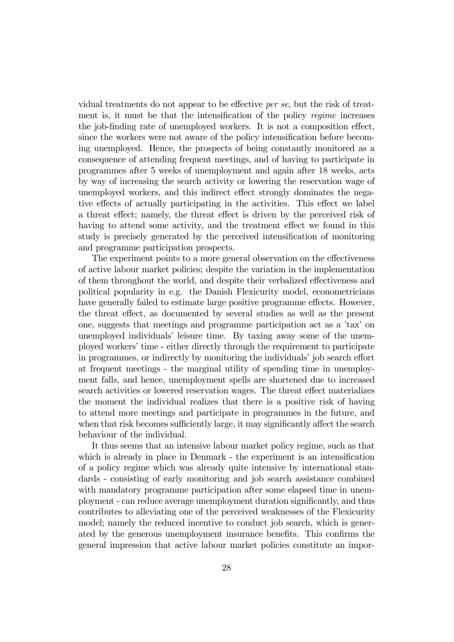vidual treatments do not appear to be effective per se, but the risk of treatment is, it must be that the intensification of the policy regime increases the job-finding rate of unemployed workers. It is not a composition effect, since the workers were not aware of the policy intensification before becoming unemployed. Hence, the prospects of being constantly monitored as a consequence of attending frequent meetings, and of having to participate in programmes after 5 weeks of unemployment and again after 18 weeks, acts by way of increasing the search activity or lowering the reservation wage of unemployed workers, and this indirect effect strongly dominates the negative effects of actually participating in the activities. This effect we label a threat effect; namely, the threat effect is driven by the perceived risk of having to attend some activity, and the treatment effect we found in this study is precisely generated by the perceived intensification of monitoring and programme participation prospects.

The experiment points to a more general observation on the effectiveness of active labour market policies; despite the variation in the implementation of them throughout the world, and despite their verbalized effectiveness and political popularity in e.g. the Danish Flexicurity model, econometricians have generally failed to estimate large positive programme effects. However, the threat effect, as documented by several studies as well as the present one, suggests that meetings and programme participation act as a 'tax' on unemployed individuals' leisure time. By taxing away some of the unemployed workers' time - either directly through the requirement to participate in programmes, or indirectly by monitoring the individuals' job search effort at frequent meetings - the marginal utility of spending time in unemployment falls, and hence, unemployment spells are shortened due to increased search activities or lowered reservation wages. The threat effect materializes the moment the individual realizes that there is a positive risk of having to attend more meetings and participate in programmes in the future, and when that risk becomes sufficiently large, it may significantly affect the search behaviour of the individual.

It thus seems that an intensive labour market policy regime, such as that which is already in place in Denmark - the experiment is an intensification of a policy regime which was already quite intensive by international standards - consisting of early monitoring and job search assistance combined with mandatory programme participation after some elapsed time in unemployment - can reduce average unemployment duration significantly, and thus contributes to alleviating one of the perceived weaknesses of the Flexicurity model; namely the reduced incentive to conduct job search, which is generated by the generous unemployment insurance benefits. This confirms the general impression that active labour market policies constitute an impor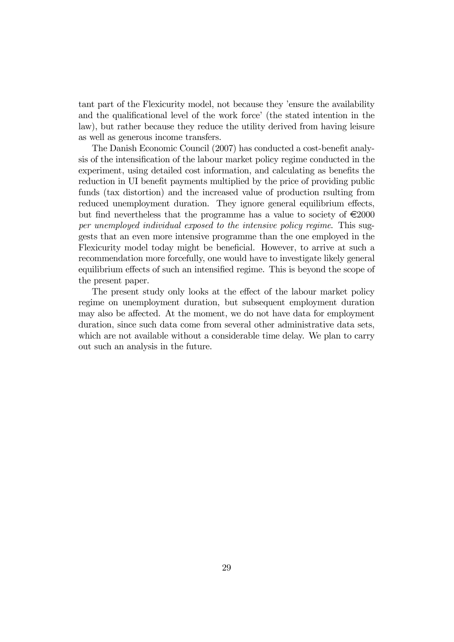tant part of the Flexicurity model, not because they 'ensure the availability and the qualificational level of the work force' (the stated intention in the law), but rather because they reduce the utility derived from having leisure as well as generous income transfers.

The Danish Economic Council (2007) has conducted a cost-benefit analysis of the intensification of the labour market policy regime conducted in the experiment, using detailed cost information, and calculating as benefits the reduction in UI benefit payments multiplied by the price of providing public funds (tax distortion) and the increased value of production rsulting from reduced unemployment duration. They ignore general equilibrium effects, but find nevertheless that the programme has a value to society of  $\epsilon$ 2000 per unemployed individual exposed to the intensive policy regime. This suggests that an even more intensive programme than the one employed in the Flexicurity model today might be beneficial. However, to arrive at such a recommendation more forcefully, one would have to investigate likely general equilibrium effects of such an intensified regime. This is beyond the scope of the present paper.

The present study only looks at the effect of the labour market policy regime on unemployment duration, but subsequent employment duration may also be affected. At the moment, we do not have data for employment duration, since such data come from several other administrative data sets, which are not available without a considerable time delay. We plan to carry out such an analysis in the future.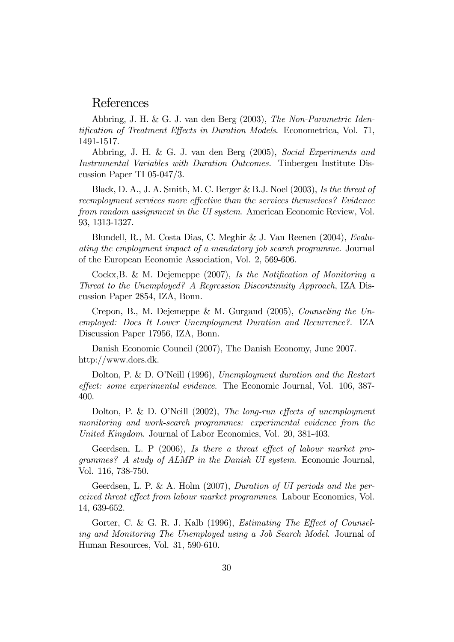### References

Abbring, J. H. & G. J. van den Berg (2003), The Non-Parametric Identification of Treatment Effects in Duration Models. Econometrica, Vol. 71, 1491-1517.

Abbring, J. H. & G. J. van den Berg (2005), Social Experiments and Instrumental Variables with Duration Outcomes. Tinbergen Institute Discussion Paper TI 05-047/3.

Black, D. A., J. A. Smith, M. C. Berger & B.J. Noel (2003), Is the threat of reemployment services more effective than the services themselves? Evidence from random assignment in the UI system. American Economic Review, Vol. 93, 1313-1327.

Blundell, R., M. Costa Dias, C. Meghir & J. Van Reenen (2004), Evaluating the employment impact of a mandatory job search programme. Journal of the European Economic Association, Vol. 2, 569-606.

Cockx,B. & M. Dejemeppe (2007), Is the Notification of Monitoring a Threat to the Unemployed? A Regression Discontinuity Approach, IZA Discussion Paper 2854, IZA, Bonn.

Crepon, B., M. Dejemeppe & M. Gurgand (2005), Counseling the Unemployed: Does It Lower Unemployment Duration and Recurrence?. IZA Discussion Paper 17956, IZA, Bonn.

Danish Economic Council (2007), The Danish Economy, June 2007. http://www.dors.dk.

Dolton, P. & D. O'Neill (1996), Unemployment duration and the Restart effect: some experimental evidence. The Economic Journal, Vol. 106, 387- 400.

Dolton, P. & D. O'Neill (2002), The long-run effects of unemployment monitoring and work-search programmes: experimental evidence from the United Kingdom. Journal of Labor Economics, Vol. 20, 381-403.

Geerdsen, L. P (2006), Is there a threat effect of labour market programmes? A study of ALMP in the Danish UI system. Economic Journal, Vol. 116, 738-750.

Geerdsen, L. P. & A. Holm (2007), Duration of UI periods and the perceived threat effect from labour market programmes. Labour Economics, Vol. 14, 639-652.

Gorter, C. & G. R. J. Kalb (1996), *Estimating The Effect of Counsel*ing and Monitoring The Unemployed using a Job Search Model. Journal of Human Resources, Vol. 31, 590-610.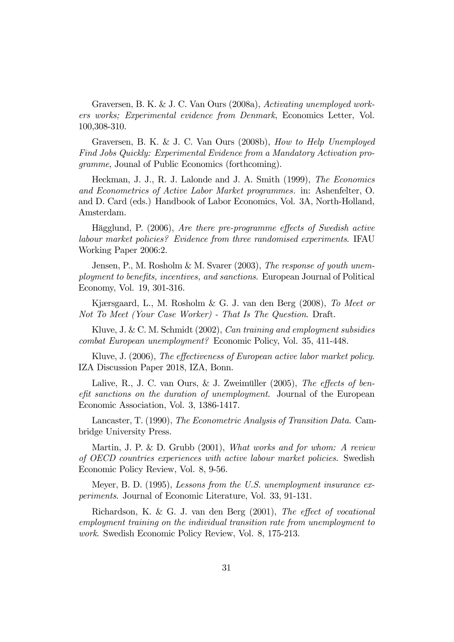Graversen, B. K. & J. C. Van Ours (2008a), Activating unemployed workers works; Experimental evidence from Denmark, Economics Letter, Vol. 100,308-310.

Graversen, B. K. & J. C. Van Ours (2008b), How to Help Unemployed Find Jobs Quickly: Experimental Evidence from a Mandatory Activation programme, Jounal of Public Economics (forthcoming).

Heckman, J. J., R. J. Lalonde and J. A. Smith (1999), The Economics and Econometrics of Active Labor Market programmes. in: Ashenfelter, O. and D. Card (eds.) Handbook of Labor Economics, Vol. 3A, North-Holland, Amsterdam.

Hägglund, P. (2006), Are there pre-programme effects of Swedish active labour market policies? Evidence from three randomised experiments. IFAU Working Paper 2006:2.

Jensen, P., M. Rosholm & M. Svarer (2003), The response of youth unemployment to benefits, incentives, and sanctions. European Journal of Political Economy, Vol. 19, 301-316.

Kjærsgaard, L., M. Rosholm & G. J. van den Berg (2008), To Meet or Not To Meet (Your Case Worker) - That Is The Question. Draft.

Kluve, J. & C. M. Schmidt (2002), Can training and employment subsidies combat European unemployment? Economic Policy, Vol. 35, 411-448.

Kluve, J. (2006), The effectiveness of European active labor market policy. IZA Discussion Paper 2018, IZA, Bonn.

Lalive, R., J. C. van Ours, & J. Zweimüller (2005), The effects of benefit sanctions on the duration of unemployment. Journal of the European Economic Association, Vol. 3, 1386-1417.

Lancaster, T. (1990), The Econometric Analysis of Transition Data. Cambridge University Press.

Martin, J. P. & D. Grubb (2001), What works and for whom: A review of OECD countries experiences with active labour market policies. Swedish Economic Policy Review, Vol. 8, 9-56.

Meyer, B. D. (1995), Lessons from the U.S. unemployment insurance experiments. Journal of Economic Literature, Vol. 33, 91-131.

Richardson, K. & G. J. van den Berg (2001), The effect of vocational employment training on the individual transition rate from unemployment to work. Swedish Economic Policy Review, Vol. 8, 175-213.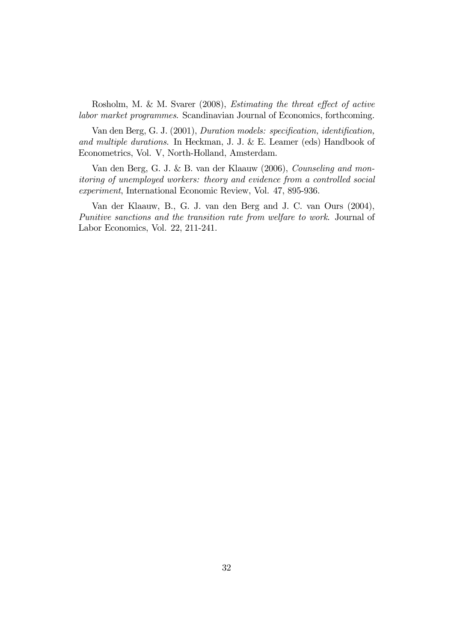Rosholm, M. & M. Svarer (2008), Estimating the threat effect of active labor market programmes. Scandinavian Journal of Economics, forthcoming.

Van den Berg, G. J. (2001), Duration models: specification, identification, and multiple durations. In Heckman, J. J. & E. Leamer (eds) Handbook of Econometrics, Vol. V, North-Holland, Amsterdam.

Van den Berg, G. J. & B. van der Klaauw (2006), Counseling and monitoring of unemployed workers: theory and evidence from a controlled social experiment, International Economic Review, Vol. 47, 895-936.

Van der Klaauw, B., G. J. van den Berg and J. C. van Ours (2004), Punitive sanctions and the transition rate from welfare to work. Journal of Labor Economics, Vol. 22, 211-241.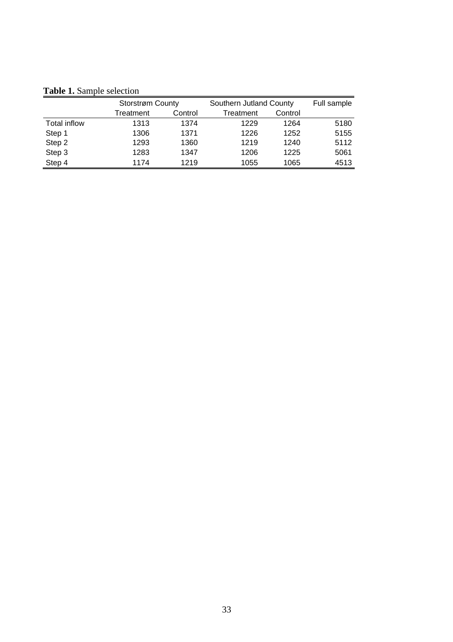**Table 1.** Sample selection

|                     | Storstrøm County |         | Southern Jutland County |         | Full sample |
|---------------------|------------------|---------|-------------------------|---------|-------------|
|                     | Treatment        | Control | Treatment               | Control |             |
| <b>Total inflow</b> | 1313             | 1374    | 1229                    | 1264    | 5180        |
| Step 1              | 1306             | 1371    | 1226                    | 1252    | 5155        |
| Step 2              | 1293             | 1360    | 1219                    | 1240    | 5112        |
| Step 3              | 1283             | 1347    | 1206                    | 1225    | 5061        |
| Step 4              | 1174             | 1219    | 1055                    | 1065    | 4513        |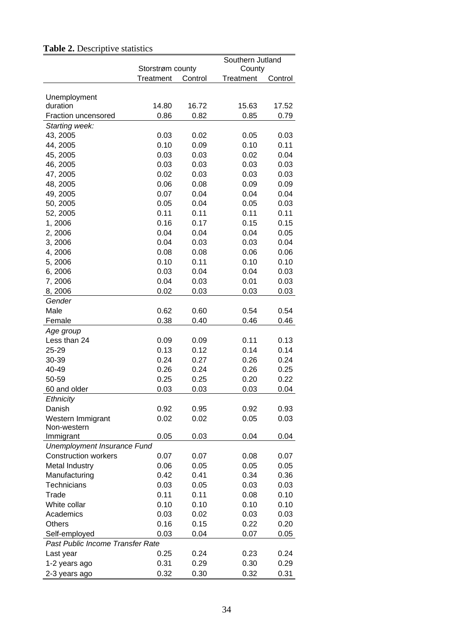|                                  |                  |         | Southern Jutland |         |  |
|----------------------------------|------------------|---------|------------------|---------|--|
|                                  | Storstrøm county |         | County           |         |  |
|                                  | Treatment        | Control | Treatment        | Control |  |
|                                  |                  |         |                  |         |  |
| Unemployment<br>duration         | 14.80            | 16.72   | 15.63            | 17.52   |  |
| Fraction uncensored              | 0.86             | 0.82    | 0.85             | 0.79    |  |
| Starting week:                   |                  |         |                  |         |  |
| 43, 2005                         | 0.03             | 0.02    | 0.05             | 0.03    |  |
| 44, 2005                         | 0.10             | 0.09    | 0.10             | 0.11    |  |
| 45, 2005                         | 0.03             | 0.03    | 0.02             | 0.04    |  |
| 46, 2005                         | 0.03             | 0.03    | 0.03             | 0.03    |  |
| 47, 2005                         | 0.02             | 0.03    | 0.03             | 0.03    |  |
| 48, 2005                         | 0.06             | 0.08    | 0.09             | 0.09    |  |
| 49, 2005                         | 0.07             | 0.04    | 0.04             | 0.04    |  |
| 50, 2005                         | 0.05             | 0.04    | 0.05             | 0.03    |  |
|                                  | 0.11             | 0.11    | 0.11             | 0.11    |  |
| 52, 2005                         | 0.16             |         | 0.15             | 0.15    |  |
| 1,2006                           |                  | 0.17    |                  |         |  |
| 2,2006                           | 0.04             | 0.04    | 0.04             | 0.05    |  |
| 3,2006                           | 0.04             | 0.03    | 0.03             | 0.04    |  |
| 4,2006                           | 0.08             | 0.08    | 0.06             | 0.06    |  |
| 5,2006                           | 0.10             | 0.11    | 0.10             | 0.10    |  |
| 6,2006                           | 0.03             | 0.04    | 0.04             | 0.03    |  |
| 7,2006                           | 0.04             | 0.03    | 0.01             | 0.03    |  |
| 8,2006                           | 0.02             | 0.03    | 0.03             | 0.03    |  |
| Gender                           |                  |         |                  |         |  |
| Male                             | 0.62             | 0.60    | 0.54             | 0.54    |  |
| Female                           | 0.38             | 0.40    | 0.46             | 0.46    |  |
| Age group                        |                  |         |                  |         |  |
| Less than 24                     | 0.09             | 0.09    | 0.11             | 0.13    |  |
| 25-29                            | 0.13             | 0.12    | 0.14             | 0.14    |  |
| 30-39                            | 0.24             | 0.27    | 0.26             | 0.24    |  |
| 40-49                            | 0.26             | 0.24    | 0.26             | 0.25    |  |
| 50-59                            | 0.25             | 0.25    | 0.20             | 0.22    |  |
| 60 and older                     | 0.03             | 0.03    | 0.03             | 0.04    |  |
| <b>Ethnicity</b>                 |                  |         |                  |         |  |
| Danish                           | 0.92             | 0.95    | 0.92             | 0.93    |  |
| Western Immigrant                | 0.02             | 0.02    | 0.05             | 0.03    |  |
| Non-western                      |                  |         |                  |         |  |
| Immigrant                        | 0.05             | 0.03    | 0.04             | 0.04    |  |
| Unemployment Insurance Fund      |                  |         |                  |         |  |
| <b>Construction workers</b>      | 0.07             | 0.07    | 0.08             | 0.07    |  |
| Metal Industry                   | 0.06             | 0.05    | 0.05             | 0.05    |  |
| Manufacturing                    | 0.42             | 0.41    | 0.34             | 0.36    |  |
| Technicians                      | 0.03             | 0.05    | 0.03             | 0.03    |  |
| Trade                            | 0.11             | 0.11    | 0.08             | 0.10    |  |
| White collar                     | 0.10             | 0.10    | 0.10             | 0.10    |  |
| Academics                        | 0.03             | 0.02    | 0.03             | 0.03    |  |
| Others                           | 0.16             | 0.15    | 0.22             | 0.20    |  |
| Self-employed                    | 0.03             | 0.04    | 0.07             | 0.05    |  |
| Past Public Income Transfer Rate |                  |         |                  |         |  |
| Last year                        | 0.25             | 0.24    | 0.23             | 0.24    |  |
| 1-2 years ago                    | 0.31             | 0.29    | 0.30             | 0.29    |  |
| 2-3 years ago                    | 0.32             | 0.30    | 0.32             | 0.31    |  |

## Table 2. Descriptive statistics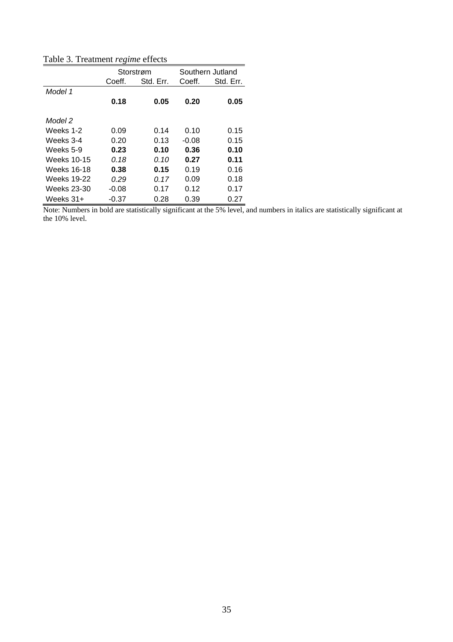Table 3. Treatment *regime* effects

|             |         | Storstrøm |         | Southern Jutland |
|-------------|---------|-----------|---------|------------------|
|             | Coeff.  | Std. Err. | Coeff.  | Std. Err.        |
| Model 1     |         |           |         |                  |
|             | 0.18    | 0.05      | 0.20    | 0.05             |
|             |         |           |         |                  |
| Model 2     |         |           |         |                  |
| Weeks 1-2   | 0.09    | 0.14      | 0.10    | 0.15             |
| Weeks 3-4   | 0.20    | 0.13      | $-0.08$ | 0.15             |
| Weeks 5-9   | 0.23    | 0.10      | 0.36    | 0.10             |
| Weeks 10-15 | 0.18    | 0.10      | 0.27    | 0.11             |
| Weeks 16-18 | 0.38    | 0.15      | 0.19    | 0.16             |
| Weeks 19-22 | 0.29    | 0.17      | 0.09    | 0.18             |
| Weeks 23-30 | $-0.08$ | 0.17      | 0.12    | 0.17             |
| Weeks 31+   | $-0.37$ | 0.28      | 0.39    | 0.27             |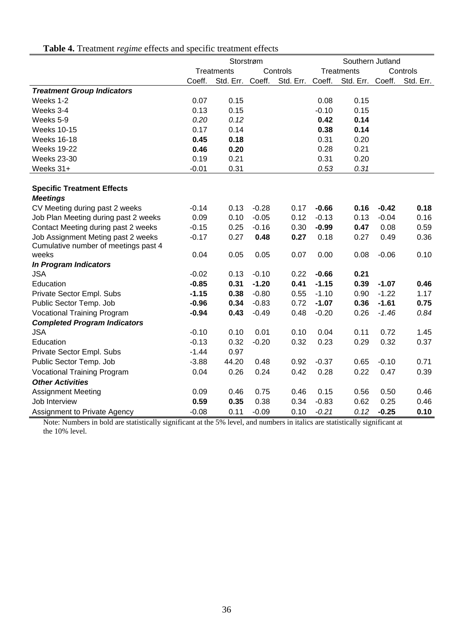|                                      | Storstrøm |                  |         |           | Southern Jutland |                   |         |           |
|--------------------------------------|-----------|------------------|---------|-----------|------------------|-------------------|---------|-----------|
|                                      |           | Treatments       |         | Controls  |                  | <b>Treatments</b> |         | Controls  |
|                                      | Coeff.    | Std. Err. Coeff. |         | Std. Err. | Coeff.           | Std. Err. Coeff.  |         | Std. Err. |
| <b>Treatment Group Indicators</b>    |           |                  |         |           |                  |                   |         |           |
| Weeks 1-2                            | 0.07      | 0.15             |         |           | 0.08             | 0.15              |         |           |
| Weeks 3-4                            | 0.13      | 0.15             |         |           | $-0.10$          | 0.15              |         |           |
| Weeks 5-9                            | 0.20      | 0.12             |         |           | 0.42             | 0.14              |         |           |
| <b>Weeks 10-15</b>                   | 0.17      | 0.14             |         |           | 0.38             | 0.14              |         |           |
| <b>Weeks 16-18</b>                   | 0.45      | 0.18             |         |           | 0.31             | 0.20              |         |           |
| <b>Weeks 19-22</b>                   | 0.46      | 0.20             |         |           | 0.28             | 0.21              |         |           |
| <b>Weeks 23-30</b>                   | 0.19      | 0.21             |         |           | 0.31             | 0.20              |         |           |
| Weeks 31+                            | $-0.01$   | 0.31             |         |           | 0.53             | 0.31              |         |           |
|                                      |           |                  |         |           |                  |                   |         |           |
| <b>Specific Treatment Effects</b>    |           |                  |         |           |                  |                   |         |           |
| <b>Meetings</b>                      |           |                  |         |           |                  |                   |         |           |
| CV Meeting during past 2 weeks       | $-0.14$   | 0.13             | $-0.28$ | 0.17      | $-0.66$          | 0.16              | $-0.42$ | 0.18      |
| Job Plan Meeting during past 2 weeks | 0.09      | 0.10             | $-0.05$ | 0.12      | $-0.13$          | 0.13              | $-0.04$ | 0.16      |
| Contact Meeting during past 2 weeks  | $-0.15$   | 0.25             | $-0.16$ | 0.30      | $-0.99$          | 0.47              | 0.08    | 0.59      |
| Job Assignment Meting past 2 weeks   | $-0.17$   | 0.27             | 0.48    | 0.27      | 0.18             | 0.27              | 0.49    | 0.36      |
| Cumulative number of meetings past 4 |           |                  |         |           |                  |                   |         |           |
| weeks                                | 0.04      | 0.05             | 0.05    | 0.07      | 0.00             | 0.08              | $-0.06$ | 0.10      |
| In Program Indicators                |           |                  |         |           |                  |                   |         |           |
| <b>JSA</b>                           | $-0.02$   | 0.13             | $-0.10$ | 0.22      | $-0.66$          | 0.21              |         |           |
| Education                            | $-0.85$   | 0.31             | $-1.20$ | 0.41      | $-1.15$          | 0.39              | $-1.07$ | 0.46      |
| Private Sector Empl. Subs            | $-1.15$   | 0.38             | $-0.80$ | 0.55      | $-1.10$          | 0.90              | $-1.22$ | 1.17      |
| Public Sector Temp. Job              | $-0.96$   | 0.34             | $-0.83$ | 0.72      | $-1.07$          | 0.36              | $-1.61$ | 0.75      |
| <b>Vocational Training Program</b>   | $-0.94$   | 0.43             | $-0.49$ | 0.48      | $-0.20$          | 0.26              | $-1.46$ | 0.84      |
| <b>Completed Program Indicators</b>  |           |                  |         |           |                  |                   |         |           |
| <b>JSA</b>                           | $-0.10$   | 0.10             | 0.01    | 0.10      | 0.04             | 0.11              | 0.72    | 1.45      |
| Education                            | $-0.13$   | 0.32             | $-0.20$ | 0.32      | 0.23             | 0.29              | 0.32    | 0.37      |
| Private Sector Empl. Subs            | $-1.44$   | 0.97             |         |           |                  |                   |         |           |
| Public Sector Temp. Job              | $-3.88$   | 44.20            | 0.48    | 0.92      | $-0.37$          | 0.65              | $-0.10$ | 0.71      |
| <b>Vocational Training Program</b>   | 0.04      | 0.26             | 0.24    | 0.42      | 0.28             | 0.22              | 0.47    | 0.39      |
| <b>Other Activities</b>              |           |                  |         |           |                  |                   |         |           |
| <b>Assignment Meeting</b>            | 0.09      | 0.46             | 0.75    | 0.46      | 0.15             | 0.56              | 0.50    | 0.46      |
| Job Interview                        | 0.59      | 0.35             | 0.38    | 0.34      | $-0.83$          | 0.62              | 0.25    | 0.46      |
| Assignment to Private Agency         | $-0.08$   | 0.11             | $-0.09$ | 0.10      | $-0.21$          | 0.12              | $-0.25$ | 0.10      |

**Table 4.** Treatment *regime* effects and specific treatment effects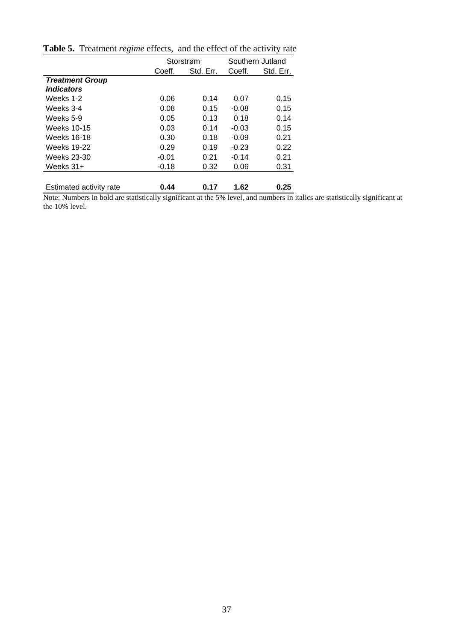|                                 |         | Storstrøm |         | Southern Jutland |
|---------------------------------|---------|-----------|---------|------------------|
|                                 | Coeff.  | Std. Err. | Coeff.  | Std. Err.        |
| <b>Treatment Group</b>          |         |           |         |                  |
| <i><u><b>Indicators</b></u></i> |         |           |         |                  |
| Weeks 1-2                       | 0.06    | 0.14      | 0.07    | 0.15             |
| Weeks 3-4                       | 0.08    | 0.15      | $-0.08$ | 0.15             |
| Weeks 5-9                       | 0.05    | 0.13      | 0.18    | 0.14             |
| Weeks 10-15                     | 0.03    | 0.14      | $-0.03$ | 0.15             |
| Weeks 16-18                     | 0.30    | 0.18      | $-0.09$ | 0.21             |
| <b>Weeks 19-22</b>              | 0.29    | 0.19      | $-0.23$ | 0.22             |
| Weeks 23-30                     | $-0.01$ | 0.21      | $-0.14$ | 0.21             |
| Weeks $31+$                     | $-0.18$ | 0.32      | 0.06    | 0.31             |
|                                 |         |           |         |                  |
| Estimated activity rate         | 0.44    | 0.17      | 1.62    | 0.25             |

**Table 5.** Treatment *regime* effects, and the effect of the activity rate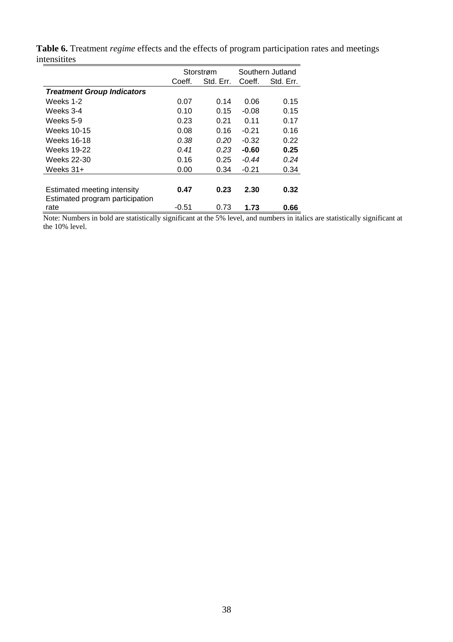|                                         | Storstrøm |           |         | Southern Jutland |
|-----------------------------------------|-----------|-----------|---------|------------------|
|                                         | Coeff.    | Std. Err. | Coeff.  | Std. Err.        |
| <b>Treatment Group Indicators</b>       |           |           |         |                  |
| Weeks 1-2                               | 0.07      | 0.14      | 0.06    | 0.15             |
| Weeks 3-4                               | 0.10      | 0.15      | $-0.08$ | 0.15             |
| Weeks 5-9                               | 0.23      | 0.21      | 0.11    | 0.17             |
| Weeks 10-15                             | 0.08      | 0.16      | $-0.21$ | 0.16             |
| Weeks 16-18                             | 0.38      | 0.20      | $-0.32$ | 0.22             |
| <b>Weeks 19-22</b>                      | 0.41      | 0.23      | $-0.60$ | 0.25             |
| Weeks 22-30                             | 0.16      | 0.25      | $-0.44$ | 0.24             |
| Weeks $31+$                             | 0.00      | 0.34      | $-0.21$ | 0.34             |
|                                         |           |           |         |                  |
| Estimated meeting intensity             | 0.47      | 0.23      | 2.30    | 0.32             |
| Estimated program participation<br>rate | $-0.51$   | 0.73      | 1.73    | 0.66             |

**Table 6.** Treatment *regime* effects and the effects of program participation rates and meetings intensitites  $\overline{a}$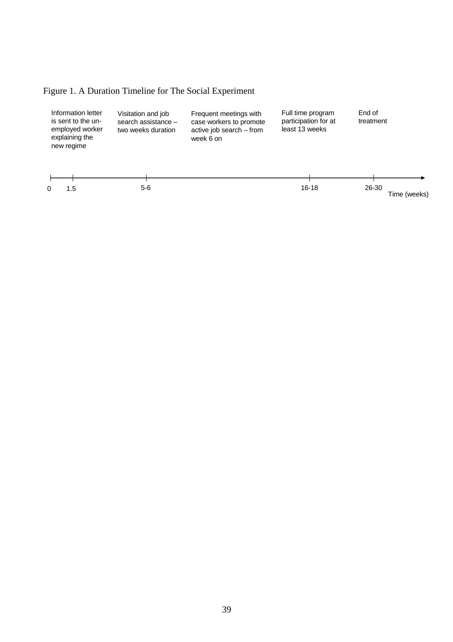## Figure 1. A Duration Timeline for The Social Experiment

| Information letter<br>is sent to the un-<br>employed worker<br>explaining the<br>new regime | Visitation and job<br>search assistance $-$<br>two weeks duration | Frequent meetings with<br>case workers to promote<br>active job search - from<br>week 6 on | Full time program<br>participation for at<br>least 13 weeks | End of<br>treatment   |
|---------------------------------------------------------------------------------------------|-------------------------------------------------------------------|--------------------------------------------------------------------------------------------|-------------------------------------------------------------|-----------------------|
| 1.5<br>0                                                                                    | 5-6                                                               |                                                                                            | $16-18$                                                     | 26-30<br>Time (weeks) |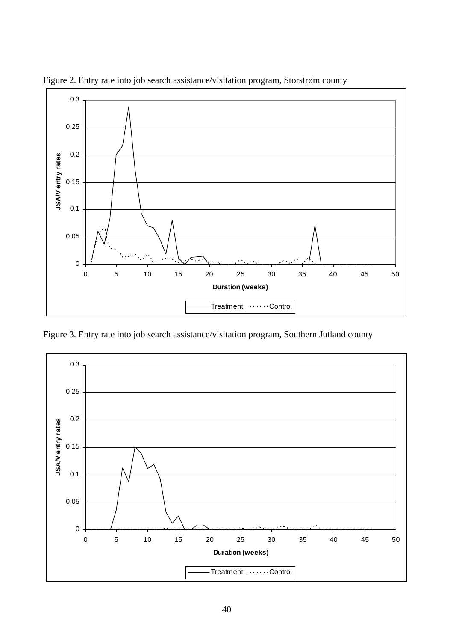

Figure 2. Entry rate into job search assistance/visitation program, Storstrøm county

Figure 3. Entry rate into job search assistance/visitation program, Southern Jutland county

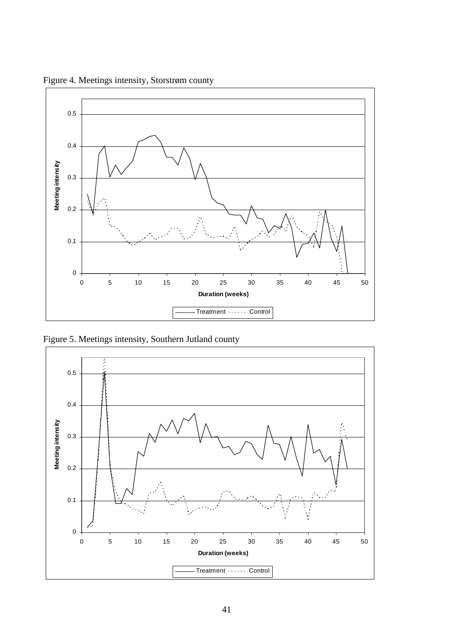

Figure 4. Meetings intensity, Storstrøm county

Figure 5. Meetings intensity, Southern Jutland county

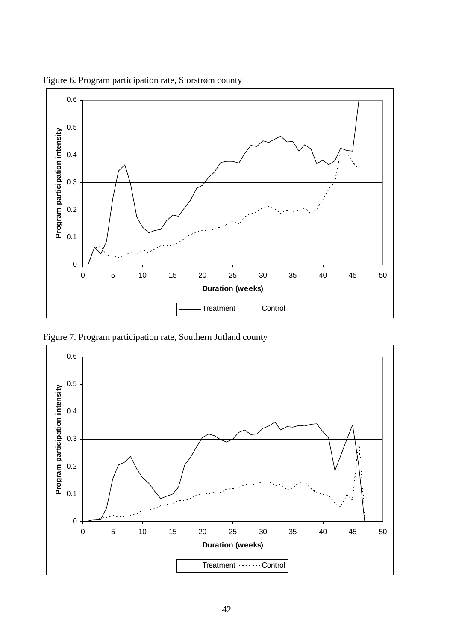

Figure 6. Program participation rate, Storstrøm county

Figure 7. Program participation rate, Southern Jutland county

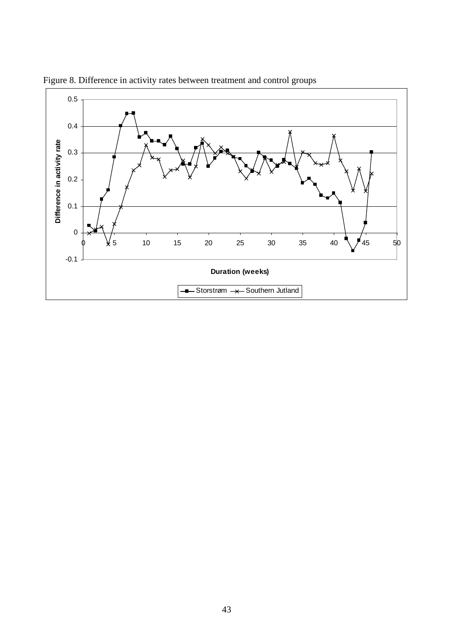

Figure 8. Difference in activity rates between treatment and control groups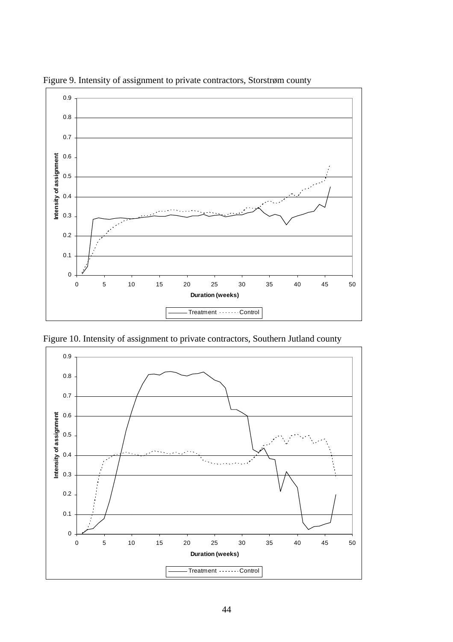

Figure 9. Intensity of assignment to private contractors, Storstrøm county

Figure 10. Intensity of assignment to private contractors, Southern Jutland county

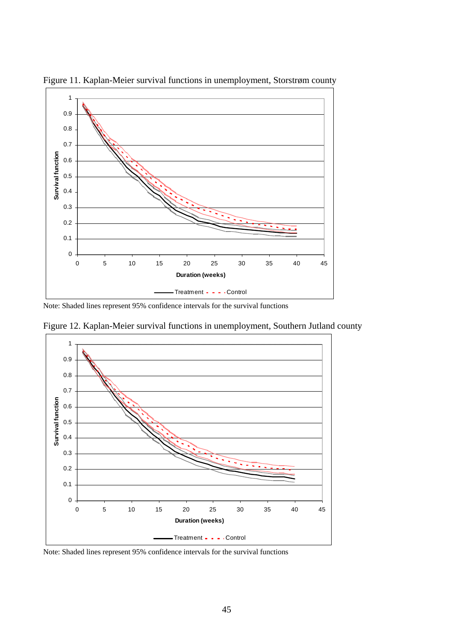

Figure 11. Kaplan-Meier survival functions in unemployment, Storstrøm county

Note: Shaded lines represent 95% confidence intervals for the survival functions



Figure 12. Kaplan-Meier survival functions in unemployment, Southern Jutland county

Note: Shaded lines represent 95% confidence intervals for the survival functions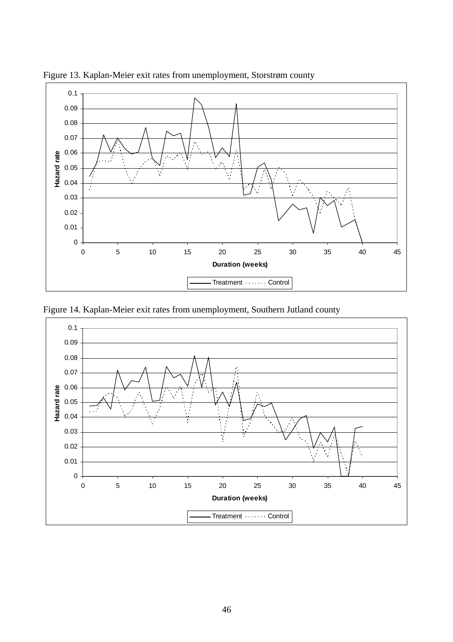

Figure 13. Kaplan-Meier exit rates from unemployment, Storstrøm county

Figure 14. Kaplan-Meier exit rates from unemployment, Southern Jutland county

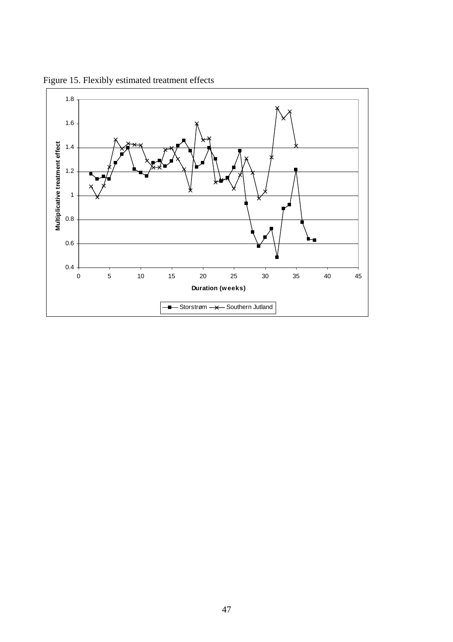

Figure 15. Flexibly estimated treatment effects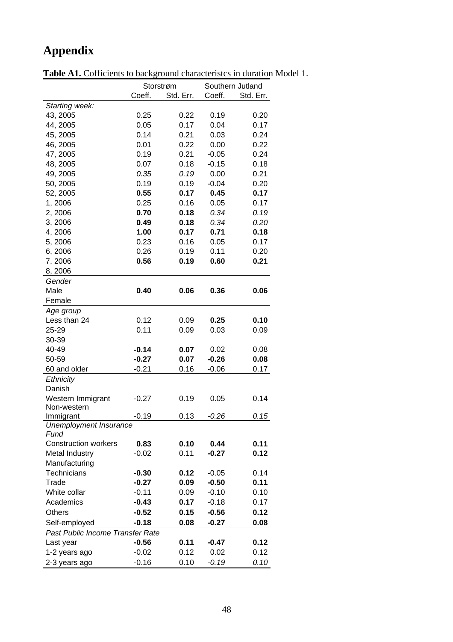## **Appendix**

|                                  | Storstrøm |           | Southern Jutland |           |
|----------------------------------|-----------|-----------|------------------|-----------|
|                                  | Coeff.    | Std. Err. | Coeff.           | Std. Err. |
| Starting week:                   |           |           |                  |           |
| 43, 2005                         | 0.25      | 0.22      | 0.19             | 0.20      |
| 44, 2005                         | 0.05      | 0.17      | 0.04             | 0.17      |
| 45, 2005                         | 0.14      | 0.21      | 0.03             | 0.24      |
| 46, 2005                         | 0.01      | 0.22      | 0.00             | 0.22      |
| 47, 2005                         | 0.19      | 0.21      | $-0.05$          | 0.24      |
| 48, 2005                         | 0.07      | 0.18      | $-0.15$          | 0.18      |
| 49, 2005                         | 0.35      | 0.19      | 0.00             | 0.21      |
| 50, 2005                         | 0.19      | 0.19      | $-0.04$          | 0.20      |
| 52, 2005                         | 0.55      | 0.17      | 0.45             | 0.17      |
| 1,2006                           | 0.25      | 0.16      | 0.05             | 0.17      |
| 2, 2006                          | 0.70      | 0.18      | 0.34             | 0.19      |
| 3,2006                           | 0.49      | 0.18      | 0.34             | 0.20      |
| 4,2006                           | 1.00      | 0.17      | 0.71             | 0.18      |
| 5,2006                           | 0.23      | 0.16      | 0.05             | 0.17      |
| 6,2006                           | 0.26      | 0.19      | 0.11             | 0.20      |
| 7,2006                           | 0.56      | 0.19      | 0.60             | 0.21      |
| 8, 2006                          |           |           |                  |           |
| Gender                           |           |           |                  |           |
| Male                             | 0.40      | 0.06      | 0.36             | 0.06      |
| Female                           |           |           |                  |           |
| Age group                        |           |           |                  |           |
| Less than 24                     | 0.12      | 0.09      | 0.25             | 0.10      |
| 25-29                            | 0.11      | 0.09      | 0.03             | 0.09      |
| 30-39                            |           |           |                  |           |
| 40-49                            | $-0.14$   | 0.07      | 0.02             | 0.08      |
| 50-59                            | $-0.27$   | 0.07      | $-0.26$          | 0.08      |
| 60 and older                     | $-0.21$   | 0.16      | $-0.06$          | 0.17      |
| Ethnicity                        |           |           |                  |           |
| Danish                           |           |           |                  |           |
| Western Immigrant                | $-0.27$   | 0.19      | 0.05             | 0.14      |
| Non-western                      |           |           |                  |           |
| Immigrant                        | $-0.19$   | 0.13      | $-0.26$          | 0.15      |
| Unemployment Insurance           |           |           |                  |           |
| Fund                             |           |           |                  |           |
| <b>Construction workers</b>      | 0.83      | 0.10      | 0.44             | 0.11      |
| Metal Industry                   | $-0.02$   | 0.11      | $-0.27$          | 0.12      |
| Manufacturing                    |           |           |                  |           |
| Technicians                      | $-0.30$   | 0.12      | $-0.05$          | 0.14      |
| Trade                            | $-0.27$   | 0.09      | $-0.50$          | 0.11      |
| White collar                     | $-0.11$   | 0.09      | $-0.10$          | 0.10      |
| Academics                        | $-0.43$   | 0.17      | $-0.18$          | 0.17      |
| <b>Others</b>                    | $-0.52$   | 0.15      | $-0.56$          | 0.12      |
| Self-employed                    | $-0.18$   | 0.08      | $-0.27$          | 0.08      |
| Past Public Income Transfer Rate |           |           |                  |           |
| Last year                        | $-0.56$   | 0.11      | $-0.47$          | 0.12      |
| 1-2 years ago                    | $-0.02$   | 0.12      | 0.02             | 0.12      |
| 2-3 years ago                    | $-0.16$   | 0.10      | $-0.19$          | 0.10      |
|                                  |           |           |                  |           |

**Table A1.** Cofficients to background characteristcs in duration Model 1.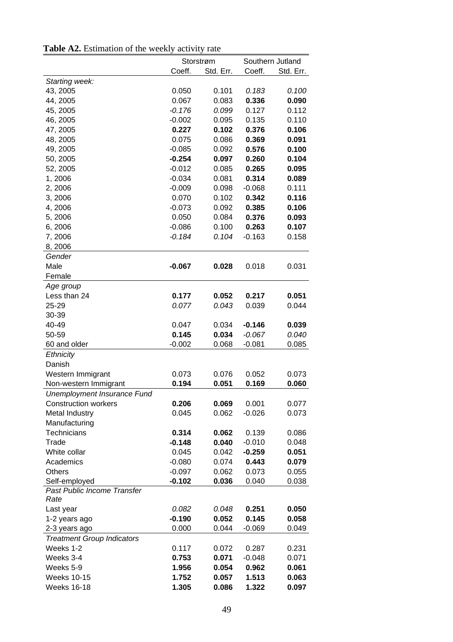|  | <b>Table A2.</b> Estimation of the weekly activity rate |  |  |  |  |
|--|---------------------------------------------------------|--|--|--|--|
|--|---------------------------------------------------------|--|--|--|--|

|                                   |          | Storstrøm |          | Southern Jutland |
|-----------------------------------|----------|-----------|----------|------------------|
|                                   | Coeff.   | Std. Err. | Coeff.   | Std. Err.        |
| Starting week:                    |          |           |          |                  |
| 43, 2005                          | 0.050    | 0.101     | 0.183    | 0.100            |
| 44, 2005                          | 0.067    | 0.083     | 0.336    | 0.090            |
| 45, 2005                          | $-0.176$ | 0.099     | 0.127    | 0.112            |
| 46, 2005                          | $-0.002$ | 0.095     | 0.135    | 0.110            |
| 47, 2005                          | 0.227    | 0.102     | 0.376    | 0.106            |
| 48, 2005                          | 0.075    | 0.086     | 0.369    | 0.091            |
| 49, 2005                          | $-0.085$ | 0.092     | 0.576    | 0.100            |
| 50, 2005                          | $-0.254$ | 0.097     | 0.260    | 0.104            |
| 52, 2005                          | $-0.012$ | 0.085     | 0.265    | 0.095            |
| 1,2006                            | $-0.034$ | 0.081     | 0.314    | 0.089            |
| 2,2006                            | $-0.009$ | 0.098     | $-0.068$ | 0.111            |
| 3, 2006                           | 0.070    | 0.102     | 0.342    | 0.116            |
| 4, 2006                           | $-0.073$ | 0.092     | 0.385    | 0.106            |
| 5,2006                            | 0.050    | 0.084     | 0.376    | 0.093            |
| 6,2006                            | $-0.086$ | 0.100     | 0.263    | 0.107            |
| 7,2006                            | $-0.184$ | 0.104     | $-0.163$ | 0.158            |
|                                   |          |           |          |                  |
| 8, 2006                           |          |           |          |                  |
| Gender                            |          |           |          |                  |
| Male                              | $-0.067$ | 0.028     | 0.018    | 0.031            |
| Female                            |          |           |          |                  |
| Age group                         |          |           |          |                  |
| Less than 24                      | 0.177    | 0.052     | 0.217    | 0.051            |
| 25-29                             | 0.077    | 0.043     | 0.039    | 0.044            |
| 30-39                             |          |           |          |                  |
| 40-49                             | 0.047    | 0.034     | $-0.146$ | 0.039            |
| 50-59                             | 0.145    | 0.034     | $-0.067$ | 0.040            |
| 60 and older                      | $-0.002$ | 0.068     | $-0.081$ | 0.085            |
| Ethnicity                         |          |           |          |                  |
| Danish                            |          |           |          |                  |
| Western Immigrant                 | 0.073    | 0.076     | 0.052    | 0.073            |
| Non-western Immigrant             | 0.194    | 0.051     | 0.169    | 0.060            |
| Unemployment Insurance Fund       |          |           |          |                  |
| <b>Construction workers</b>       | 0.206    | 0.069     | 0.001    | 0.077            |
| Metal Industry                    | 0.045    | 0.062     | $-0.026$ | 0.073            |
| Manufacturing                     |          |           |          |                  |
| Technicians                       | 0.314    | 0.062     | 0.139    | 0.086            |
| Trade                             | $-0.148$ | 0.040     | $-0.010$ | 0.048            |
| White collar                      | 0.045    | 0.042     | $-0.259$ | 0.051            |
| Academics                         | $-0.080$ | 0.074     | 0.443    | 0.079            |
| <b>Others</b>                     | $-0.097$ | 0.062     | 0.073    | 0.055            |
| Self-employed                     | $-0.102$ | 0.036     | 0.040    | 0.038            |
| Past Public Income Transfer       |          |           |          |                  |
| Rate                              |          |           |          |                  |
| Last year                         | 0.082    | 0.048     | 0.251    | 0.050            |
| 1-2 years ago                     | $-0.190$ | 0.052     | 0.145    | 0.058            |
| 2-3 years ago                     | 0.000    | 0.044     | $-0.069$ | 0.049            |
| <b>Treatment Group Indicators</b> |          |           |          |                  |
| Weeks 1-2                         | 0.117    | 0.072     | 0.287    | 0.231            |
| Weeks 3-4                         | 0.753    | 0.071     | $-0.048$ | 0.071            |
| Weeks 5-9                         | 1.956    | 0.054     | 0.962    | 0.061            |
| <b>Weeks 10-15</b>                | 1.752    | 0.057     | 1.513    | 0.063            |
| <b>Weeks 16-18</b>                | 1.305    | 0.086     | 1.322    | 0.097            |
|                                   |          |           |          |                  |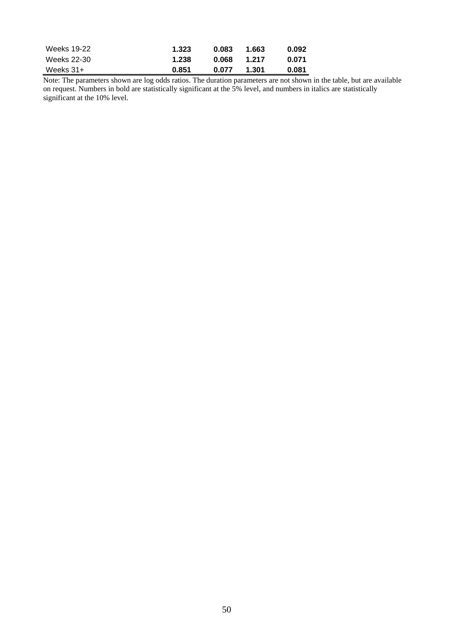| Weeks 19-22 | 1.323 | 0.083 | 1.663 | 0.092 |
|-------------|-------|-------|-------|-------|
| Weeks 22-30 | 1.238 | 0.068 | 1.217 | 0.071 |
| Weeks 31+   | 0.851 | 0.077 | 1.301 | 0.081 |

Note: The parameters shown are log odds ratios. The duration parameters are not shown in the table, but are available on request. Numbers in bold are statistically significant at the 5% level, and numbers in italics are statistically significant at the 10% level.